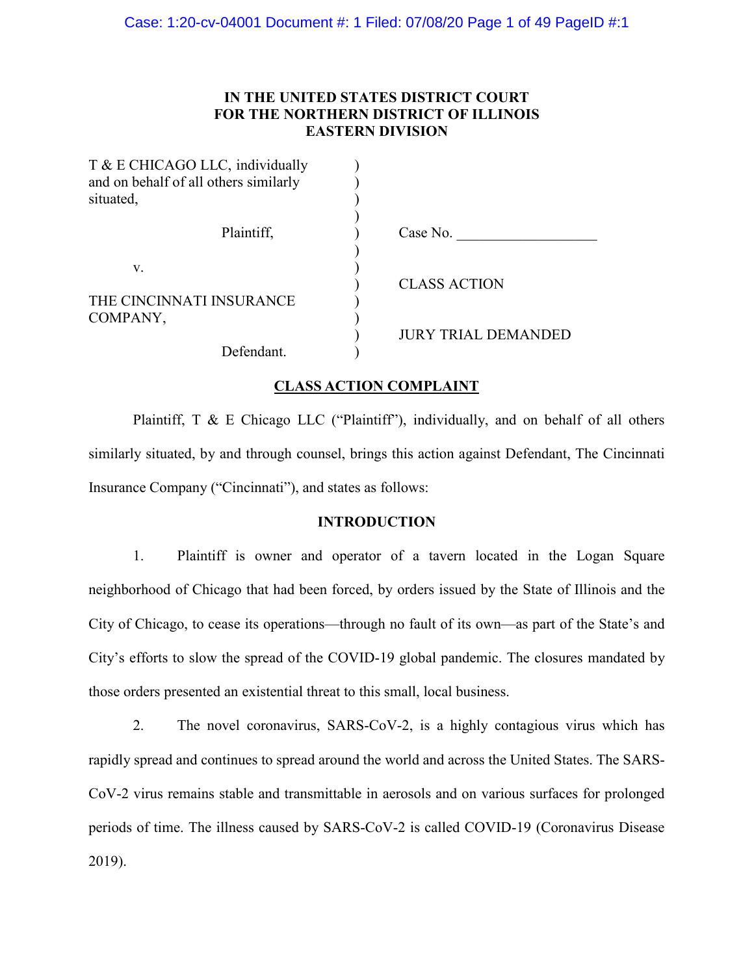# **IN THE UNITED STATES DISTRICT COURT FOR THE NORTHERN DISTRICT OF ILLINOIS EASTERN DIVISION**

| T & E CHICAGO LLC, individually<br>and on behalf of all others similarly<br>situated, |                            |
|---------------------------------------------------------------------------------------|----------------------------|
| Plaintiff.                                                                            | Case No.                   |
| V.<br>THE CINCINNATI INSURANCE                                                        | <b>CLASS ACTION</b>        |
| COMPANY,<br>Defendant.                                                                | <b>JURY TRIAL DEMANDED</b> |

# **CLASS ACTION COMPLAINT**

Plaintiff,  $T \& E$  Chicago LLC ("Plaintiff"), individually, and on behalf of all others similarly situated, by and through counsel, brings this action against Defendant, The Cincinnati Insurance Company ("Cincinnati"), and states as follows:

## **INTRODUCTION**

1. Plaintiff is owner and operator of a tavern located in the Logan Square neighborhood of Chicago that had been forced, by orders issued by the State of Illinois and the City of Chicago, to cease its operations—through no fault of its own—as part of the State's and City's efforts to slow the spread of the COVID-19 global pandemic. The closures mandated by those orders presented an existential threat to this small, local business.

2. The novel coronavirus, SARS-CoV-2, is a highly contagious virus which has rapidly spread and continues to spread around the world and across the United States. The SARS-CoV-2 virus remains stable and transmittable in aerosols and on various surfaces for prolonged periods of time. The illness caused by SARS-CoV-2 is called COVID-19 (Coronavirus Disease 2019).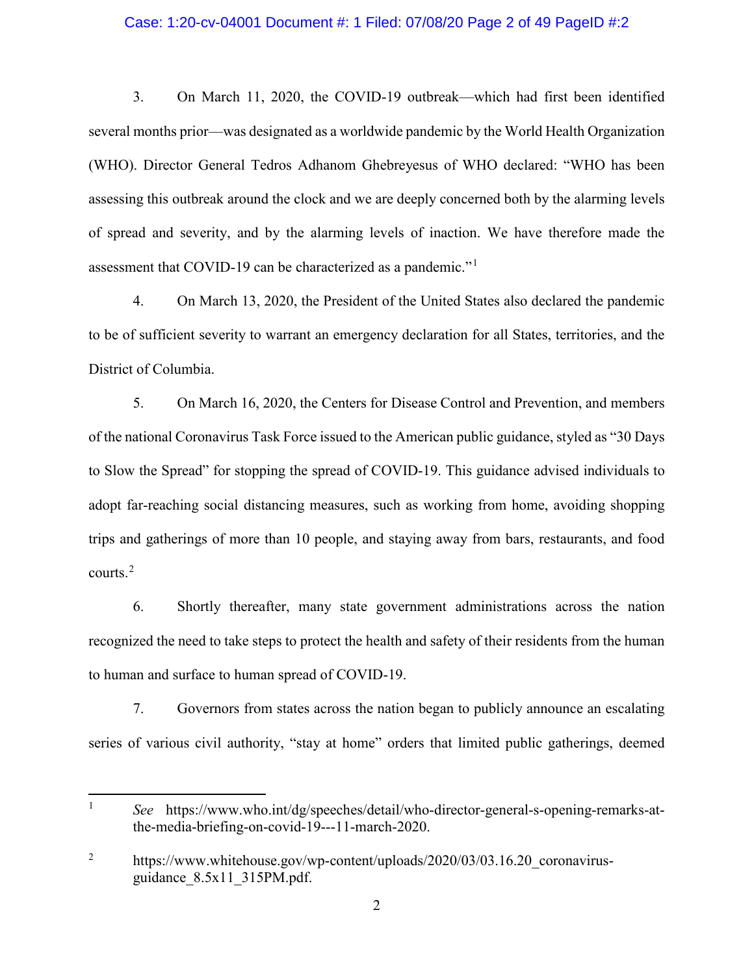## Case: 1:20-cv-04001 Document #: 1 Filed: 07/08/20 Page 2 of 49 PageID #:2

3. On March 11, 2020, the COVID-19 outbreak—which had first been identified several months prior—was designated as a worldwide pandemic by the World Health Organization (WHO). Director General Tedros Adhanom Ghebreyesus of WHO declared: "WHO has been assessing this outbreak around the clock and we are deeply concerned both by the alarming levels of spread and severity, and by the alarming levels of inaction. We have therefore made the assessment that COVID-19 can be characterized as a pandemic."[1](#page-1-0)

4. On March 13, 2020, the President of the United States also declared the pandemic to be of sufficient severity to warrant an emergency declaration for all States, territories, and the District of Columbia.

5. On March 16, 2020, the Centers for Disease Control and Prevention, and members of the national Coronavirus Task Force issued to the American public guidance, styled as "30 Days to Slow the Spread" for stopping the spread of COVID-19. This guidance advised individuals to adopt far-reaching social distancing measures, such as working from home, avoiding shopping trips and gatherings of more than 10 people, and staying away from bars, restaurants, and food courts. [2](#page-1-1)

6. Shortly thereafter, many state government administrations across the nation recognized the need to take steps to protect the health and safety of their residents from the human to human and surface to human spread of COVID-19.

7. Governors from states across the nation began to publicly announce an escalating series of various civil authority, "stay at home" orders that limited public gatherings, deemed

<span id="page-1-0"></span> <sup>1</sup> *See* [https://www.who.int/dg/speeches/detail/who-director-general-s-opening-remarks-at](https://www.who.int/dg/speeches/detail/who-director-general-s-opening-remarks-at-the-media-briefing-on-covid-19---11-march-2020)[the-media-briefing-on-covid-19---11-march-2020.](https://www.who.int/dg/speeches/detail/who-director-general-s-opening-remarks-at-the-media-briefing-on-covid-19---11-march-2020)

<span id="page-1-1"></span><sup>&</sup>lt;sup>2</sup> https://www.whitehouse.gov/wp-content/uploads/2020/03/03.16.20 coronavirus[guidance\\_8.5x11\\_315PM.pdf.](https://www.whitehouse.gov/wp-content/uploads/2020/03/03.16.20_coronavirus-guidance_8.5x11_315PM.pdf)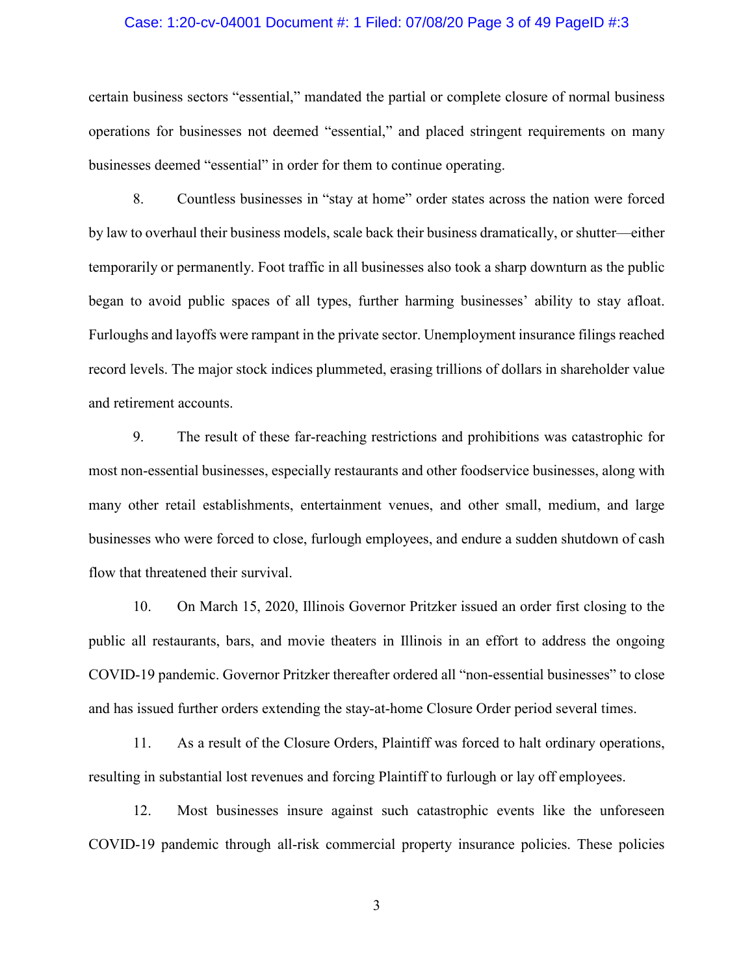### Case: 1:20-cv-04001 Document #: 1 Filed: 07/08/20 Page 3 of 49 PageID #:3

certain business sectors "essential," mandated the partial or complete closure of normal business operations for businesses not deemed "essential," and placed stringent requirements on many businesses deemed "essential" in order for them to continue operating.

8. Countless businesses in "stay at home" order states across the nation were forced by law to overhaul their business models, scale back their business dramatically, or shutter—either temporarily or permanently. Foot traffic in all businesses also took a sharp downturn as the public began to avoid public spaces of all types, further harming businesses' ability to stay afloat. Furloughs and layoffs were rampant in the private sector. Unemployment insurance filings reached record levels. The major stock indices plummeted, erasing trillions of dollars in shareholder value and retirement accounts.

9. The result of these far-reaching restrictions and prohibitions was catastrophic for most non-essential businesses, especially restaurants and other foodservice businesses, along with many other retail establishments, entertainment venues, and other small, medium, and large businesses who were forced to close, furlough employees, and endure a sudden shutdown of cash flow that threatened their survival.

10. On March 15, 2020, Illinois Governor Pritzker issued an order first closing to the public all restaurants, bars, and movie theaters in Illinois in an effort to address the ongoing COVID-19 pandemic. Governor Pritzker thereafter ordered all "non-essential businesses" to close and has issued further orders extending the stay-at-home Closure Order period several times.

11. As a result of the Closure Orders, Plaintiff was forced to halt ordinary operations, resulting in substantial lost revenues and forcing Plaintiff to furlough or lay off employees.

12. Most businesses insure against such catastrophic events like the unforeseen COVID-19 pandemic through all-risk commercial property insurance policies. These policies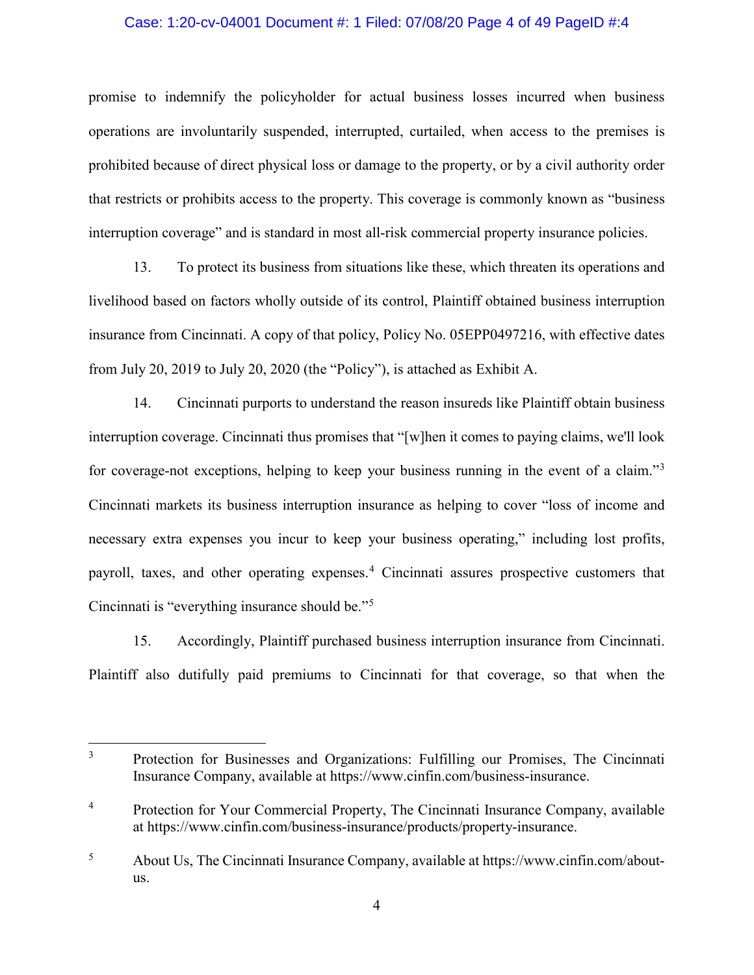## Case: 1:20-cv-04001 Document #: 1 Filed: 07/08/20 Page 4 of 49 PageID #:4

promise to indemnify the policyholder for actual business losses incurred when business operations are involuntarily suspended, interrupted, curtailed, when access to the premises is prohibited because of direct physical loss or damage to the property, or by a civil authority order that restricts or prohibits access to the property. This coverage is commonly known as "business interruption coverage" and is standard in most all-risk commercial property insurance policies.

13. To protect its business from situations like these, which threaten its operations and livelihood based on factors wholly outside of its control, Plaintiff obtained business interruption insurance from Cincinnati. A copy of that policy, Policy No. 05EPP0497216, with effective dates from July 20, 2019 to July 20, 2020 (the "Policy"), is attached as Exhibit A.

14. Cincinnati purports to understand the reason insureds like Plaintiff obtain business interruption coverage. Cincinnati thus promises that "[w]hen it comes to paying claims, we'll look for coverage-not exceptions, helping to keep your business running in the event of a claim."[3](#page-3-0) Cincinnati markets its business interruption insurance as helping to cover "loss of income and necessary extra expenses you incur to keep your business operating," including lost profits, payroll, taxes, and other operating expenses.[4](#page-3-1) Cincinnati assures prospective customers that Cincinnati is "everything insurance should be."[5](#page-3-2)

15. Accordingly, Plaintiff purchased business interruption insurance from Cincinnati. Plaintiff also dutifully paid premiums to Cincinnati for that coverage, so that when the

<span id="page-3-0"></span><sup>&</sup>lt;sup>3</sup> Protection for Businesses and Organizations: Fulfilling our Promises, The Cincinnati Insurance Company, available at https://www.cinfin.com/business-insurance.

<span id="page-3-1"></span><sup>&</sup>lt;sup>4</sup> Protection for Your Commercial Property, The Cincinnati Insurance Company, available at https://www.cinfin.com/business-insurance/products/property-insurance.

<span id="page-3-2"></span><sup>5</sup> About Us, The Cincinnati Insurance Company, available at https://www.cinfin.com/aboutus.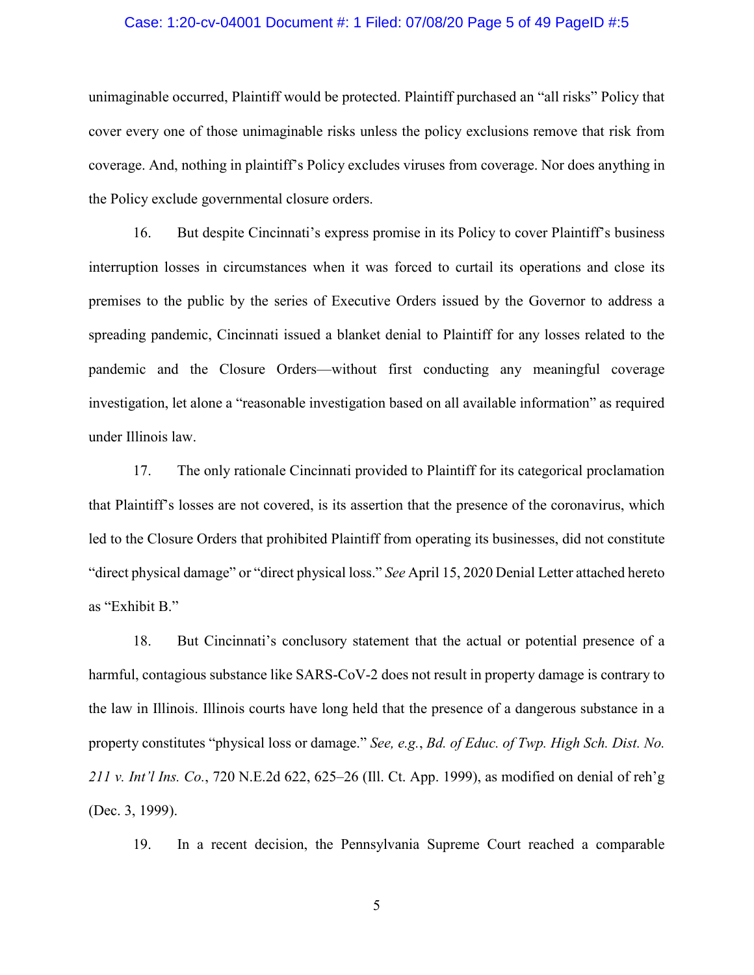### Case: 1:20-cv-04001 Document #: 1 Filed: 07/08/20 Page 5 of 49 PageID #:5

unimaginable occurred, Plaintiff would be protected. Plaintiff purchased an "all risks" Policy that cover every one of those unimaginable risks unless the policy exclusions remove that risk from coverage. And, nothing in plaintiff's Policy excludes viruses from coverage. Nor does anything in the Policy exclude governmental closure orders.

16. But despite Cincinnati's express promise in its Policy to cover Plaintiff's business interruption losses in circumstances when it was forced to curtail its operations and close its premises to the public by the series of Executive Orders issued by the Governor to address a spreading pandemic, Cincinnati issued a blanket denial to Plaintiff for any losses related to the pandemic and the Closure Orders—without first conducting any meaningful coverage investigation, let alone a "reasonable investigation based on all available information" as required under Illinois law.

17. The only rationale Cincinnati provided to Plaintiff for its categorical proclamation that Plaintiff's losses are not covered, is its assertion that the presence of the coronavirus, which led to the Closure Orders that prohibited Plaintiff from operating its businesses, did not constitute "direct physical damage" or "direct physical loss." *See* April 15, 2020 Denial Letter attached hereto as "Exhibit B."

18. But Cincinnati's conclusory statement that the actual or potential presence of a harmful, contagious substance like SARS-CoV-2 does not result in property damage is contrary to the law in Illinois. Illinois courts have long held that the presence of a dangerous substance in a property constitutes "physical loss or damage." *See, e.g.*, *Bd. of Educ. of Twp. High Sch. Dist. No. 211 v. Int'l Ins. Co.*, 720 N.E.2d 622, 625–26 (Ill. Ct. App. 1999), as modified on denial of reh'g (Dec. 3, 1999).

19. In a recent decision, the Pennsylvania Supreme Court reached a comparable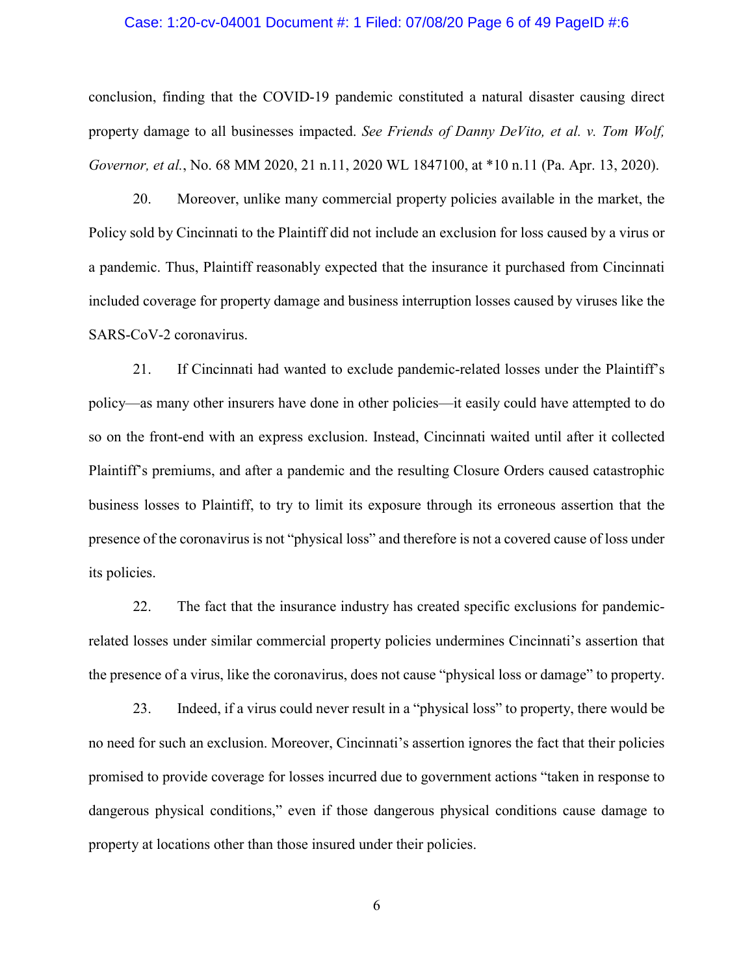### Case: 1:20-cv-04001 Document #: 1 Filed: 07/08/20 Page 6 of 49 PageID #:6

conclusion, finding that the COVID-19 pandemic constituted a natural disaster causing direct property damage to all businesses impacted. *See Friends of Danny DeVito, et al. v. Tom Wolf, Governor, et al.*, No. 68 MM 2020, 21 n.11, 2020 WL 1847100, at \*10 n.11 (Pa. Apr. 13, 2020).

20. Moreover, unlike many commercial property policies available in the market, the Policy sold by Cincinnati to the Plaintiff did not include an exclusion for loss caused by a virus or a pandemic. Thus, Plaintiff reasonably expected that the insurance it purchased from Cincinnati included coverage for property damage and business interruption losses caused by viruses like the SARS-CoV-2 coronavirus.

21. If Cincinnati had wanted to exclude pandemic-related losses under the Plaintiff's policy—as many other insurers have done in other policies—it easily could have attempted to do so on the front-end with an express exclusion. Instead, Cincinnati waited until after it collected Plaintiff's premiums, and after a pandemic and the resulting Closure Orders caused catastrophic business losses to Plaintiff, to try to limit its exposure through its erroneous assertion that the presence of the coronavirus is not "physical loss" and therefore is not a covered cause of loss under its policies.

22. The fact that the insurance industry has created specific exclusions for pandemicrelated losses under similar commercial property policies undermines Cincinnati's assertion that the presence of a virus, like the coronavirus, does not cause "physical loss or damage" to property.

23. Indeed, if a virus could never result in a "physical loss" to property, there would be no need for such an exclusion. Moreover, Cincinnati's assertion ignores the fact that their policies promised to provide coverage for losses incurred due to government actions "taken in response to dangerous physical conditions," even if those dangerous physical conditions cause damage to property at locations other than those insured under their policies.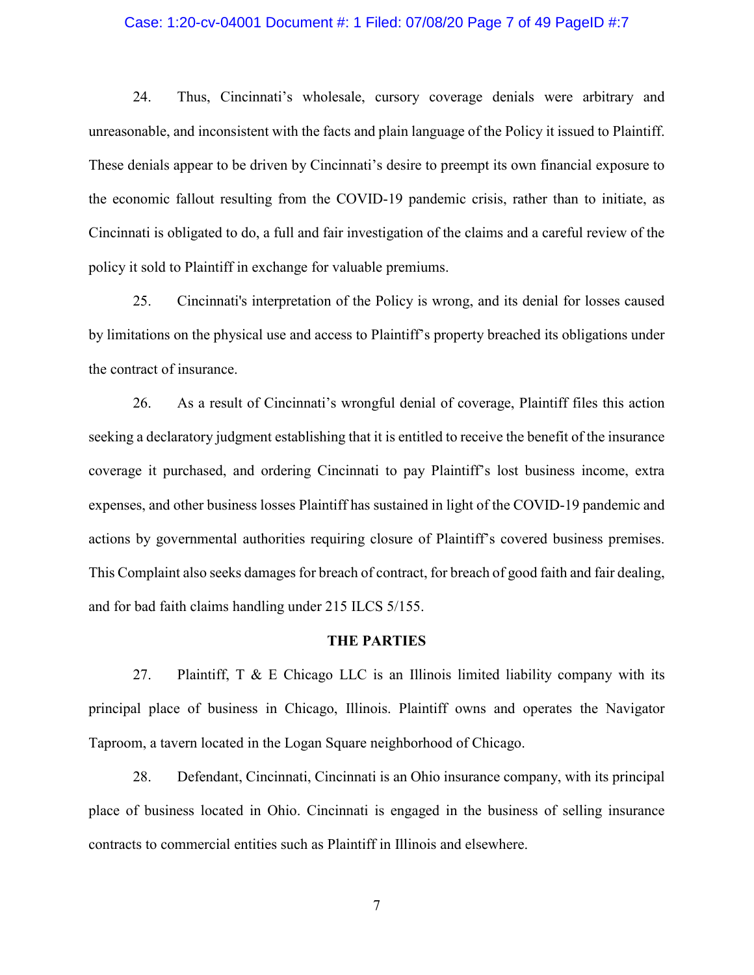### Case: 1:20-cv-04001 Document #: 1 Filed: 07/08/20 Page 7 of 49 PageID #:7

24. Thus, Cincinnati's wholesale, cursory coverage denials were arbitrary and unreasonable, and inconsistent with the facts and plain language of the Policy it issued to Plaintiff. These denials appear to be driven by Cincinnati's desire to preempt its own financial exposure to the economic fallout resulting from the COVID-19 pandemic crisis, rather than to initiate, as Cincinnati is obligated to do, a full and fair investigation of the claims and a careful review of the policy it sold to Plaintiff in exchange for valuable premiums.

25. Cincinnati's interpretation of the Policy is wrong, and its denial for losses caused by limitations on the physical use and access to Plaintiff's property breached its obligations under the contract of insurance.

26. As a result of Cincinnati's wrongful denial of coverage, Plaintiff files this action seeking a declaratory judgment establishing that it is entitled to receive the benefit of the insurance coverage it purchased, and ordering Cincinnati to pay Plaintiff's lost business income, extra expenses, and other business losses Plaintiff has sustained in light of the COVID-19 pandemic and actions by governmental authorities requiring closure of Plaintiff's covered business premises. This Complaint also seeks damages for breach of contract, for breach of good faith and fair dealing, and for bad faith claims handling under 215 ILCS 5/155.

## **THE PARTIES**

27. Plaintiff,  $T \& E$  Chicago LLC is an Illinois limited liability company with its principal place of business in Chicago, Illinois. Plaintiff owns and operates the Navigator Taproom, a tavern located in the Logan Square neighborhood of Chicago.

28. Defendant, Cincinnati, Cincinnati is an Ohio insurance company, with its principal place of business located in Ohio. Cincinnati is engaged in the business of selling insurance contracts to commercial entities such as Plaintiff in Illinois and elsewhere.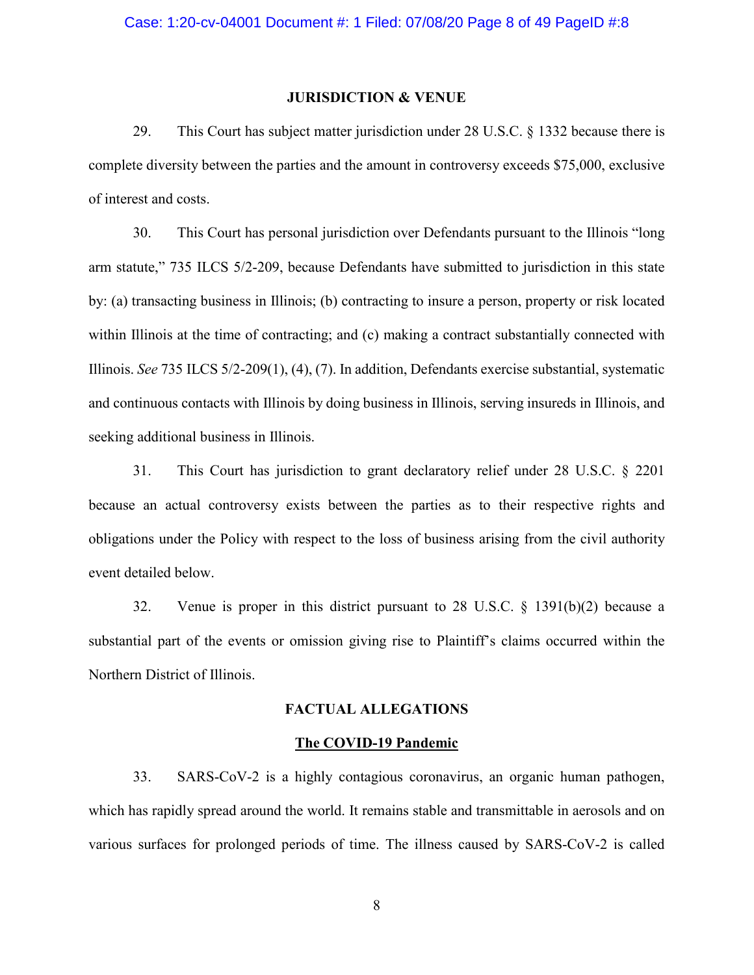## **JURISDICTION & VENUE**

29. This Court has subject matter jurisdiction under 28 U.S.C. § 1332 because there is complete diversity between the parties and the amount in controversy exceeds \$75,000, exclusive of interest and costs.

30. This Court has personal jurisdiction over Defendants pursuant to the Illinois "long arm statute," 735 ILCS 5/2-209, because Defendants have submitted to jurisdiction in this state by: (a) transacting business in Illinois; (b) contracting to insure a person, property or risk located within Illinois at the time of contracting; and (c) making a contract substantially connected with Illinois. *See* 735 ILCS 5/2-209(1), (4), (7). In addition, Defendants exercise substantial, systematic and continuous contacts with Illinois by doing business in Illinois, serving insureds in Illinois, and seeking additional business in Illinois.

31. This Court has jurisdiction to grant declaratory relief under 28 U.S.C. § 2201 because an actual controversy exists between the parties as to their respective rights and obligations under the Policy with respect to the loss of business arising from the civil authority event detailed below.

32. Venue is proper in this district pursuant to 28 U.S.C. § 1391(b)(2) because a substantial part of the events or omission giving rise to Plaintiff's claims occurred within the Northern District of Illinois.

### **FACTUAL ALLEGATIONS**

#### **The COVID-19 Pandemic**

33. SARS-CoV-2 is a highly contagious coronavirus, an organic human pathogen, which has rapidly spread around the world. It remains stable and transmittable in aerosols and on various surfaces for prolonged periods of time. The illness caused by SARS-CoV-2 is called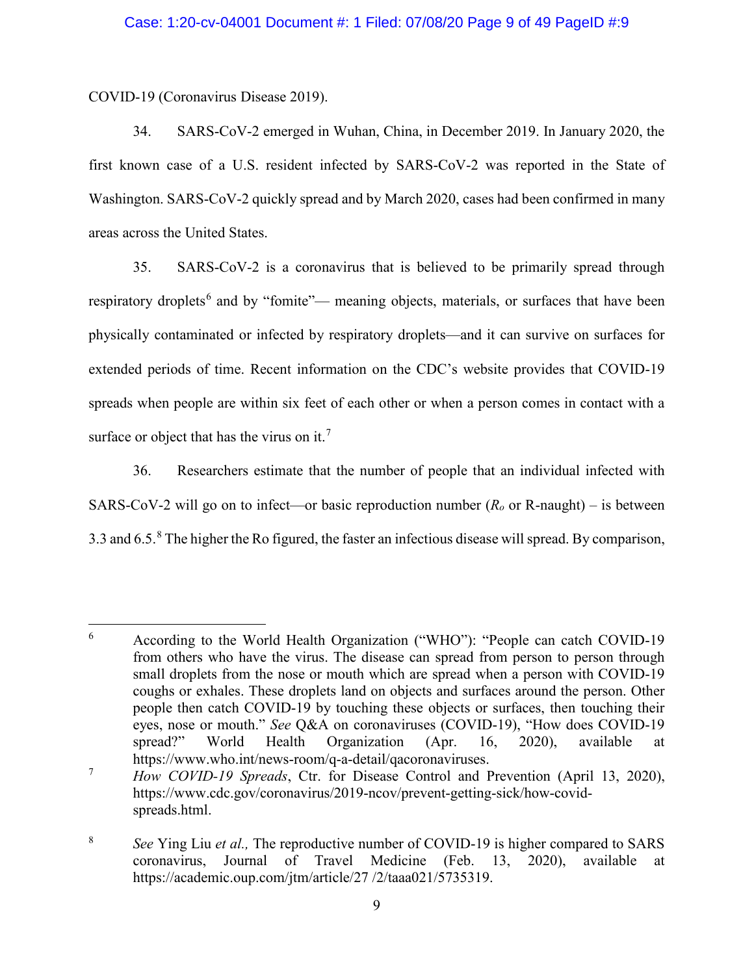## Case: 1:20-cv-04001 Document #: 1 Filed: 07/08/20 Page 9 of 49 PageID #:9

COVID-19 (Coronavirus Disease 2019).

34. SARS-CoV-2 emerged in Wuhan, China, in December 2019. In January 2020, the first known case of a U.S. resident infected by SARS-CoV-2 was reported in the State of Washington. SARS-CoV-2 quickly spread and by March 2020, cases had been confirmed in many areas across the United States.

35. SARS-CoV-2 is a coronavirus that is believed to be primarily spread through respiratory droplets<sup>[6](#page-8-0)</sup> and by "fomite"— meaning objects, materials, or surfaces that have been physically contaminated or infected by respiratory droplets—and it can survive on surfaces for extended periods of time. Recent information on the CDC's website provides that COVID-19 spreads when people are within six feet of each other or when a person comes in contact with a surface or object that has the virus on it.<sup>[7](#page-8-1)</sup>

36. Researchers estimate that the number of people that an individual infected with SARS-CoV-2 will go on to infect—or basic reproduction number  $(R<sub>o</sub>$  or R-naught) – is between 3.3 and 6.5.[8](#page-8-2) The higher the Ro figured, the faster an infectious disease will spread. By comparison,

<span id="page-8-0"></span> <sup>6</sup> According to the World Health Organization ("WHO"): "People can catch COVID-19 from others who have the virus. The disease can spread from person to person through small droplets from the nose or mouth which are spread when a person with COVID-19 coughs or exhales. These droplets land on objects and surfaces around the person. Other people then catch COVID-19 by touching these objects or surfaces, then touching their eyes, nose or mouth." *See* Q&A on coronaviruses (COVID-19), "How does COVID-19 spread?" World Health Organization (Apr. 16, 2020), available at https://www.who.int/news-room/q-a-detail/qacoronaviruses.

<span id="page-8-1"></span><sup>7</sup> *How COVID-19 Spreads*, Ctr. for Disease Control and Prevention (April 13, 2020), https://www.cdc.gov/coronavirus/2019-ncov/prevent-getting-sick/how-covidspreads.html.

<span id="page-8-2"></span><sup>8</sup> *See* Ying Liu *et al.,* The reproductive number of COVID-19 is higher compared to SARS coronavirus, Journal of Travel Medicine (Feb. 13, 2020), available at https://academic.oup.com/jtm/article/27 /2/taaa021/5735319.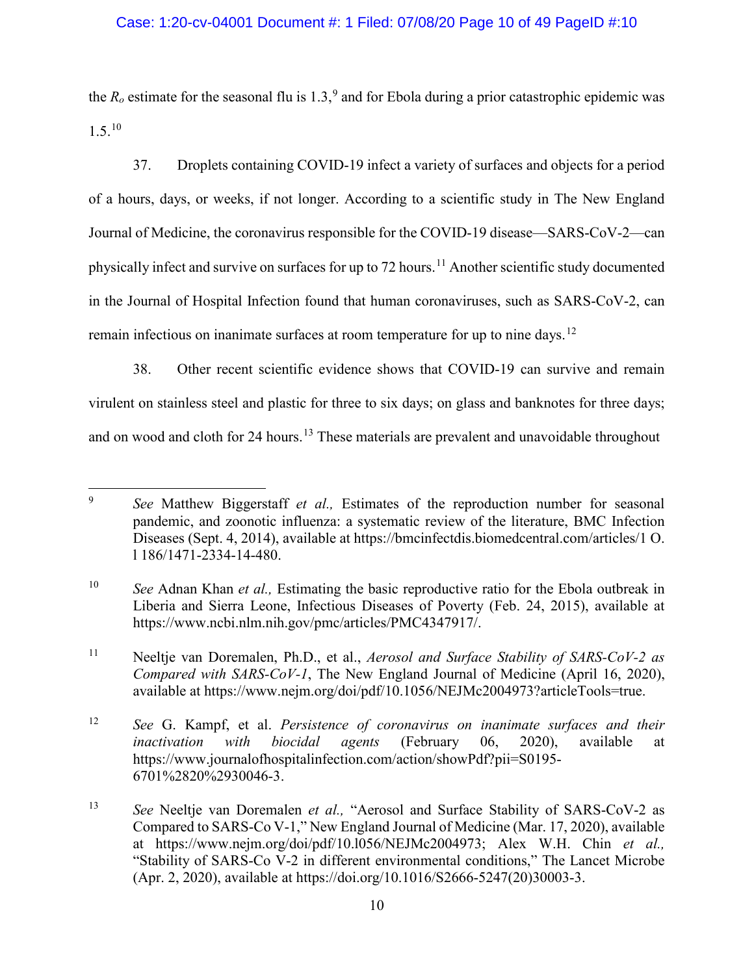## Case: 1:20-cv-04001 Document #: 1 Filed: 07/08/20 Page 10 of 49 PageID #:10

the  $R_0$  estimate for the seasonal flu is 1.3,<sup>[9](#page-9-0)</sup> and for Ebola during a prior catastrophic epidemic was  $1.5^{10}$  $1.5^{10}$  $1.5^{10}$ 

37. Droplets containing COVID-19 infect a variety of surfaces and objects for a period of a hours, days, or weeks, if not longer. According to a scientific study in The New England Journal of Medicine, the coronavirus responsible for the COVID-19 disease—SARS-CoV-2—can physically infect and survive on surfaces for up to 72 hours.<sup>[11](#page-9-2)</sup> Another scientific study documented in the Journal of Hospital Infection found that human coronaviruses, such as SARS-CoV-2, can remain infectious on inanimate surfaces at room temperature for up to nine days.[12](#page-9-3)

38. Other recent scientific evidence shows that COVID-19 can survive and remain virulent on stainless steel and plastic for three to six days; on glass and banknotes for three days; and on wood and cloth for 24 hours.<sup>[13](#page-9-4)</sup> These materials are prevalent and unavoidable throughout

<span id="page-9-2"></span><sup>11</sup> Neeltje van Doremalen, Ph.D., et al., *Aerosol and Surface Stability of SARS-CoV-2 as Compared with SARS-CoV-1*, The New England Journal of Medicine (April 16, 2020), available at https://www.nejm.org/doi/pdf/10.1056/NEJMc2004973?articleTools=true.

<span id="page-9-3"></span><sup>12</sup> *See* G. Kampf, et al. *Persistence of coronavirus on inanimate surfaces and their inactivation with biocidal agents* (February 06, 2020), available at https://www.journalofhospitalinfection.com/action/showPdf?pii=S0195- 6701%2820%2930046-3.

<span id="page-9-0"></span> <sup>9</sup> *See* Matthew Biggerstaff *et al.,* Estimates of the reproduction number for seasonal pandemic, and zoonotic influenza: a systematic review of the literature, BMC Infection Diseases (Sept. 4, 2014), available at https://bmcinfectdis.biomedcentral.com/articles/1 O. l 186/1471-2334-14-480.

<span id="page-9-1"></span><sup>10</sup> *See* Adnan Khan *et al.,* Estimating the basic reproductive ratio for the Ebola outbreak in Liberia and Sierra Leone, Infectious Diseases of Poverty (Feb. 24, 2015), available at https://www.ncbi.nlm.nih.gov/pmc/articles/PMC4347917/.

<span id="page-9-4"></span><sup>13</sup> *See* Neeltje van Doremalen *et al.,* "Aerosol and Surface Stability of SARS-CoV-2 as Compared to SARS-Co V-1," New England Journal of Medicine (Mar. 17, 2020), available at https://www.nejm.org/doi/pdf/10.l056/NEJMc2004973; Alex W.H. Chin *et al.,*  "Stability of SARS-Co V-2 in different environmental conditions," The Lancet Microbe (Apr. 2, 2020), available at https://doi.org/10.1016/S2666-5247(20)30003-3.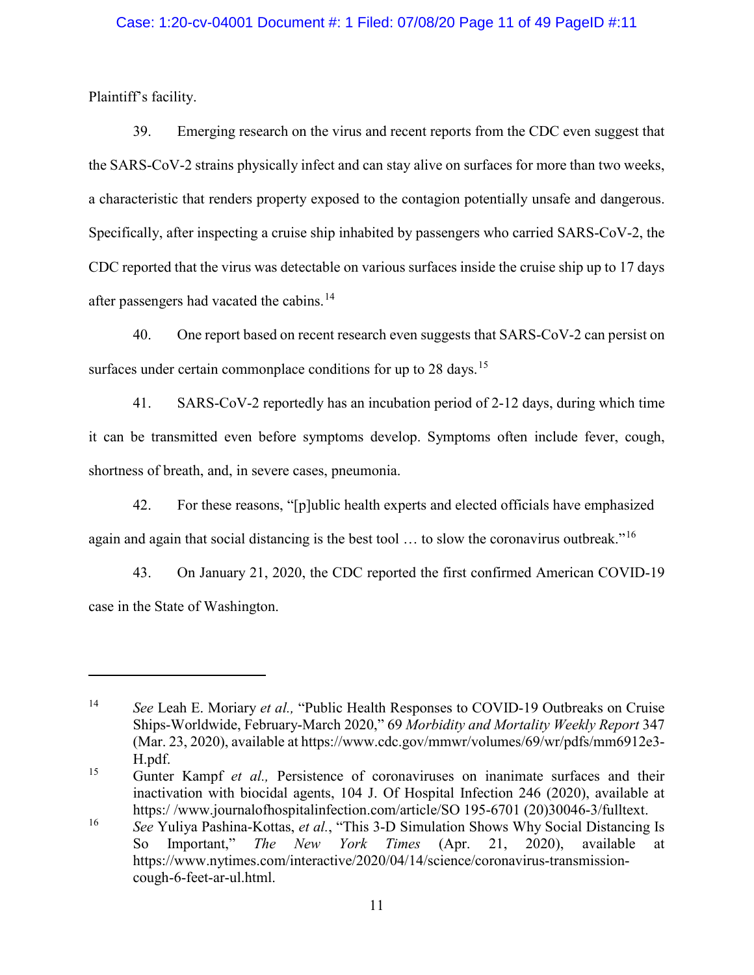## Case: 1:20-cv-04001 Document #: 1 Filed: 07/08/20 Page 11 of 49 PageID #:11

Plaintiff's facility.

 $\overline{a}$ 

39. Emerging research on the virus and recent reports from the CDC even suggest that the SARS-CoV-2 strains physically infect and can stay alive on surfaces for more than two weeks, a characteristic that renders property exposed to the contagion potentially unsafe and dangerous. Specifically, after inspecting a cruise ship inhabited by passengers who carried SARS-CoV-2, the CDC reported that the virus was detectable on various surfaces inside the cruise ship up to 17 days after passengers had vacated the cabins.<sup>[14](#page-10-0)</sup>

40. One report based on recent research even suggests that SARS-CoV-2 can persist on surfaces under certain commonplace conditions for up to 28 days.<sup>[15](#page-10-1)</sup>

41. SARS-CoV-2 reportedly has an incubation period of 2-12 days, during which time it can be transmitted even before symptoms develop. Symptoms often include fever, cough, shortness of breath, and, in severe cases, pneumonia.

42. For these reasons, "[p]ublic health experts and elected officials have emphasized again and again that social distancing is the best tool  $\ldots$  to slow the coronavirus outbreak."<sup>[16](#page-10-2)</sup>

43. On January 21, 2020, the CDC reported the first confirmed American COVID-19 case in the State of Washington.

<span id="page-10-0"></span><sup>14</sup> *See* Leah E. Moriary *et al.,* "Public Health Responses to COVID-19 Outbreaks on Cruise Ships-Worldwide, February-March 2020," 69 *Morbidity and Mortality Weekly Report* 347 (Mar. 23, 2020), available at https://www.cdc.gov/mmwr/volumes/69/wr/pdfs/mm6912e3- H.pdf.

<span id="page-10-1"></span><sup>15</sup> Gunter Kampf *et al.,* Persistence of coronaviruses on inanimate surfaces and their inactivation with biocidal agents, 104 J. Of Hospital Infection 246 (2020), available at https:/ /www.journalofhospitalinfection.com/article/SO 195-6701 (20)30046-3/fulltext.

<span id="page-10-2"></span><sup>16</sup> *See* Yuliya Pashina-Kottas, *et al.*, "This 3-D Simulation Shows Why Social Distancing Is So Important," *The New York Times* (Apr. 21, 2020), available at https://www.nytimes.com/interactive/2020/04/14/science/coronavirus-transmissioncough-6-feet-ar-ul.html.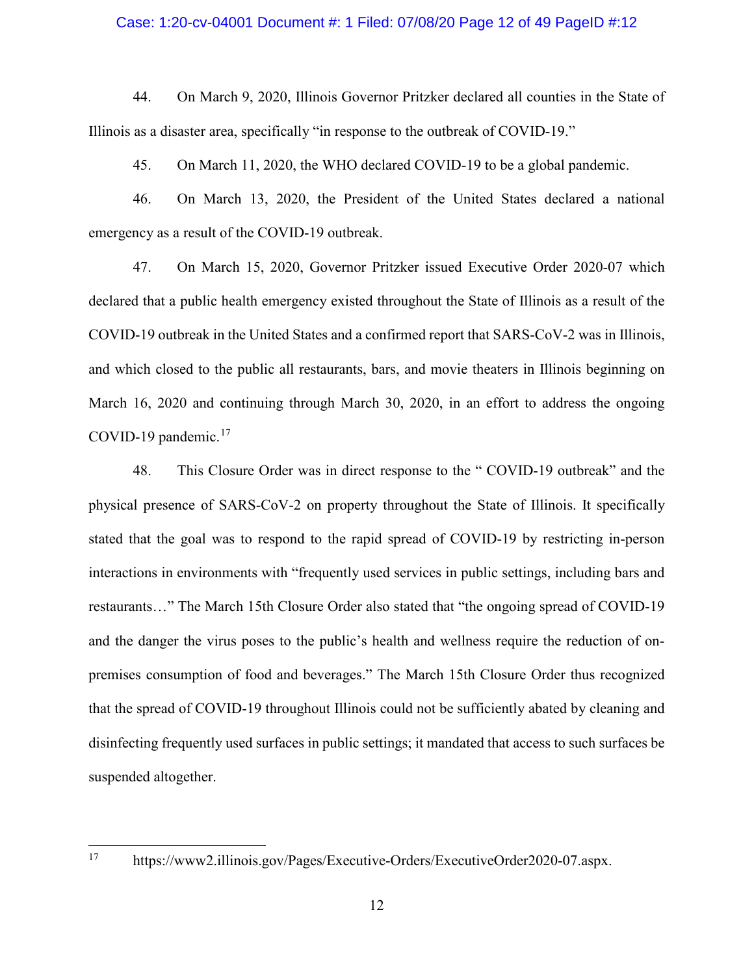### Case: 1:20-cv-04001 Document #: 1 Filed: 07/08/20 Page 12 of 49 PageID #:12

44. On March 9, 2020, Illinois Governor Pritzker declared all counties in the State of Illinois as a disaster area, specifically "in response to the outbreak of COVID-19."

45. On March 11, 2020, the WHO declared COVID-19 to be a global pandemic.

46. On March 13, 2020, the President of the United States declared a national emergency as a result of the COVID-19 outbreak.

47. On March 15, 2020, Governor Pritzker issued Executive Order 2020-07 which declared that a public health emergency existed throughout the State of Illinois as a result of the COVID-19 outbreak in the United States and a confirmed report that SARS-CoV-2 was in Illinois, and which closed to the public all restaurants, bars, and movie theaters in Illinois beginning on March 16, 2020 and continuing through March 30, 2020, in an effort to address the ongoing COVID-19 pandemic.<sup>[17](#page-11-0)</sup>

48. This Closure Order was in direct response to the " COVID-19 outbreak" and the physical presence of SARS-CoV-2 on property throughout the State of Illinois. It specifically stated that the goal was to respond to the rapid spread of COVID-19 by restricting in-person interactions in environments with "frequently used services in public settings, including bars and restaurants…" The March 15th Closure Order also stated that "the ongoing spread of COVID-19 and the danger the virus poses to the public's health and wellness require the reduction of onpremises consumption of food and beverages." The March 15th Closure Order thus recognized that the spread of COVID-19 throughout Illinois could not be sufficiently abated by cleaning and disinfecting frequently used surfaces in public settings; it mandated that access to such surfaces be suspended altogether.

<span id="page-11-0"></span> <sup>17</sup> https://www2.illinois.gov/Pages/Executive-Orders/ExecutiveOrder2020-07.aspx.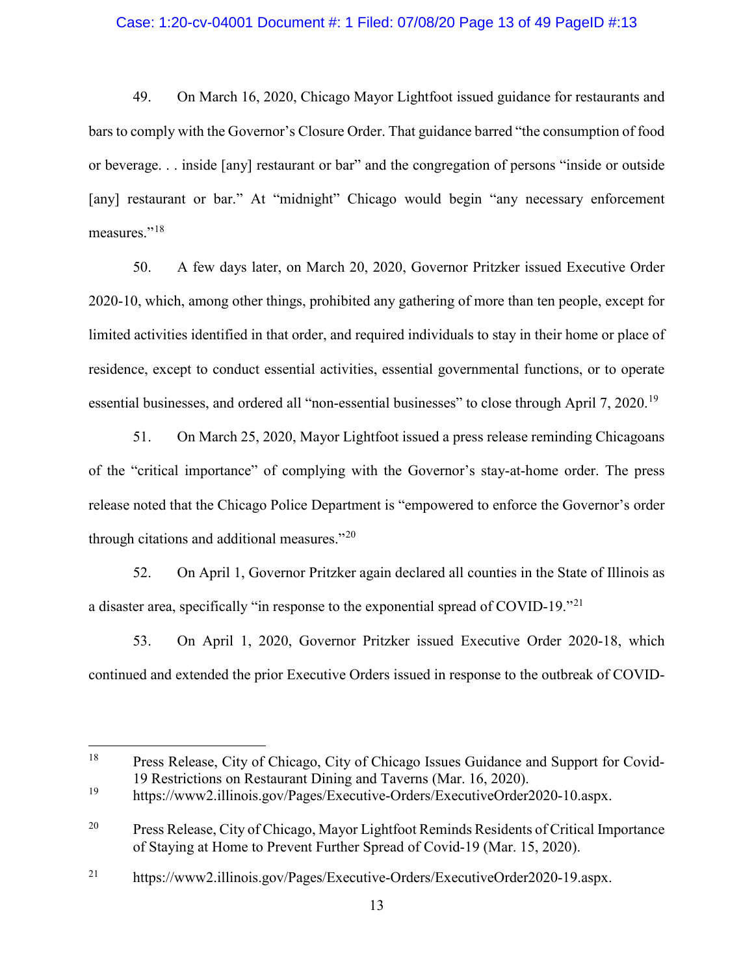### Case: 1:20-cv-04001 Document #: 1 Filed: 07/08/20 Page 13 of 49 PageID #:13

49. On March 16, 2020, Chicago Mayor Lightfoot issued guidance for restaurants and bars to comply with the Governor's Closure Order. That guidance barred "the consumption of food or beverage. . . inside [any] restaurant or bar" and the congregation of persons "inside or outside [any] restaurant or bar." At "midnight" Chicago would begin "any necessary enforcement measures."<sup>[18](#page-12-0)</sup>

50. A few days later, on March 20, 2020, Governor Pritzker issued Executive Order 2020-10, which, among other things, prohibited any gathering of more than ten people, except for limited activities identified in that order, and required individuals to stay in their home or place of residence, except to conduct essential activities, essential governmental functions, or to operate essential businesses, and ordered all "non-essential businesses" to close through April 7, 2020.<sup>[19](#page-12-1)</sup>

51. On March 25, 2020, Mayor Lightfoot issued a press release reminding Chicagoans of the "critical importance" of complying with the Governor's stay-at-home order. The press release noted that the Chicago Police Department is "empowered to enforce the Governor's order through citations and additional measures."[20](#page-12-2)

52. On April 1, Governor Pritzker again declared all counties in the State of Illinois as a disaster area, specifically "in response to the exponential spread of COVID-19."[21](#page-12-3)

53. On April 1, 2020, Governor Pritzker issued Executive Order 2020-18, which continued and extended the prior Executive Orders issued in response to the outbreak of COVID-

<span id="page-12-0"></span> <sup>18</sup> Press Release, City of Chicago, City of Chicago Issues Guidance and Support for Covid-19 Restrictions on Restaurant Dining and Taverns (Mar. 16, 2020).

<span id="page-12-1"></span><sup>19</sup> https://www2.illinois.gov/Pages/Executive-Orders/ExecutiveOrder2020-10.aspx.

<span id="page-12-2"></span><sup>&</sup>lt;sup>20</sup> Press Release, City of Chicago, Mayor Lightfoot Reminds Residents of Critical Importance of Staying at Home to Prevent Further Spread of Covid-19 (Mar. 15, 2020).

<span id="page-12-3"></span><sup>21</sup> https://www2.illinois.gov/Pages/Executive-Orders/ExecutiveOrder2020-19.aspx.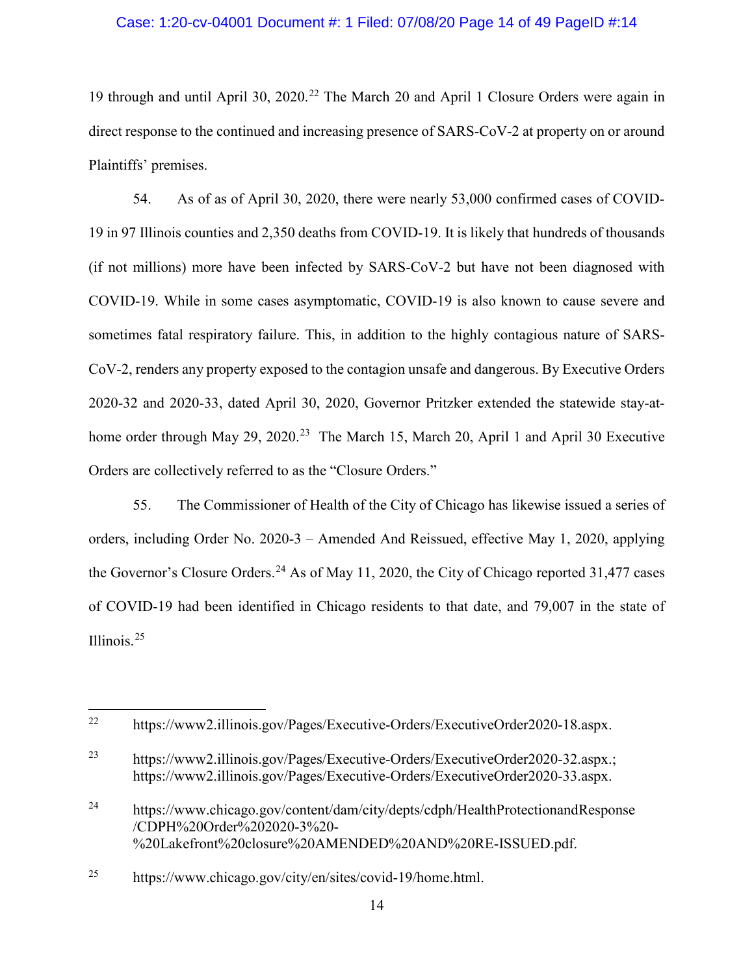## Case: 1:20-cv-04001 Document #: 1 Filed: 07/08/20 Page 14 of 49 PageID #:14

19 through and until April 30, 2020. [22](#page-13-0) The March 20 and April 1 Closure Orders were again in direct response to the continued and increasing presence of SARS-CoV-2 at property on or around Plaintiffs' premises.

54. As of as of April 30, 2020, there were nearly 53,000 confirmed cases of COVID-19 in 97 Illinois counties and 2,350 deaths from COVID-19. It is likely that hundreds of thousands (if not millions) more have been infected by SARS-CoV-2 but have not been diagnosed with COVID-19. While in some cases asymptomatic, COVID-19 is also known to cause severe and sometimes fatal respiratory failure. This, in addition to the highly contagious nature of SARS-CoV-2, renders any property exposed to the contagion unsafe and dangerous. By Executive Orders 2020-32 and 2020-33, dated April 30, 2020, Governor Pritzker extended the statewide stay-at-home order through May 29, 2020.<sup>[23](#page-13-1)</sup> The March 15, March 20, April 1 and April 30 Executive Orders are collectively referred to as the "Closure Orders."

55. The Commissioner of Health of the City of Chicago has likewise issued a series of orders, including Order No. 2020-3 – Amended And Reissued, effective May 1, 2020, applying the Governor's Closure Orders.<sup>[24](#page-13-2)</sup> As of May 11, 2020, the City of Chicago reported 31,477 cases of COVID-19 had been identified in Chicago residents to that date, and 79,007 in the state of Illinois. [25](#page-13-3)

<span id="page-13-3"></span><sup>25</sup> https://www.chicago.gov/city/en/sites/covid-19/home.html.

<span id="page-13-0"></span> <sup>22</sup> https://www2.illinois.gov/Pages/Executive-Orders/ExecutiveOrder2020-18.aspx.

<span id="page-13-1"></span><sup>&</sup>lt;sup>23</sup> https://www2.illinois.gov/Pages/Executive-Orders/ExecutiveOrder2020-32.aspx.; https://www2.illinois.gov/Pages/Executive-Orders/ExecutiveOrder2020-33.aspx.

<span id="page-13-2"></span><sup>24</sup> https://www.chicago.gov/content/dam/city/depts/cdph/HealthProtectionandResponse /CDPH%20Order%202020-3%20- %20Lakefront%20closure%20AMENDED%20AND%20RE-ISSUED.pdf.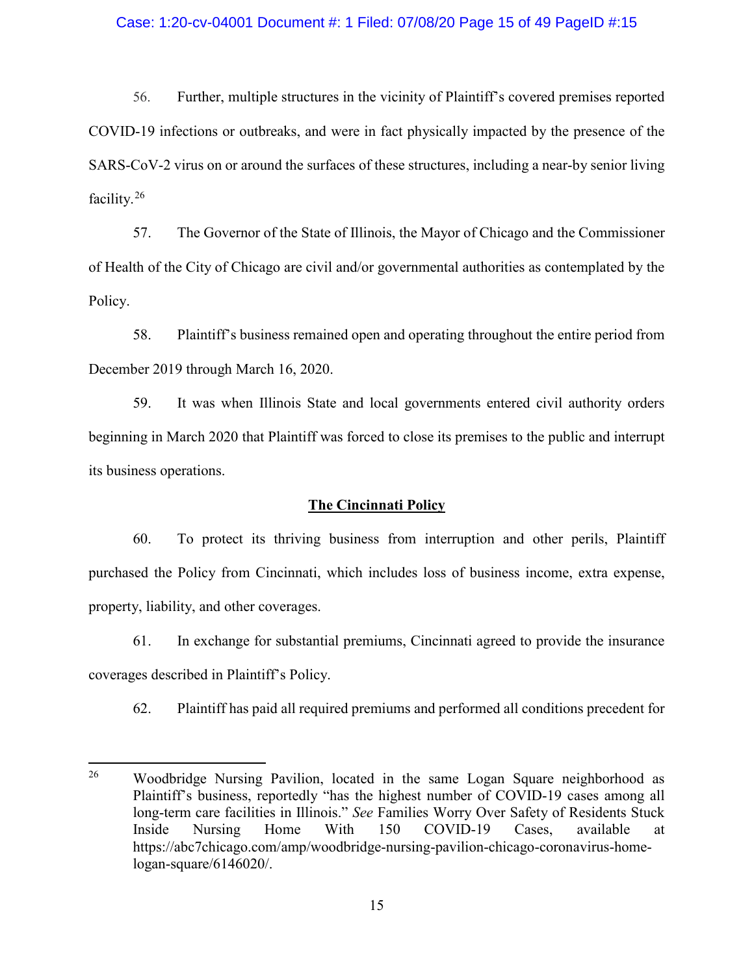### Case: 1:20-cv-04001 Document #: 1 Filed: 07/08/20 Page 15 of 49 PageID #:15

56. Further, multiple structures in the vicinity of Plaintiff's covered premises reported COVID-19 infections or outbreaks, and were in fact physically impacted by the presence of the SARS-CoV-2 virus on or around the surfaces of these structures, including a near-by senior living facility.[26](#page-14-0)

57. The Governor of the State of Illinois, the Mayor of Chicago and the Commissioner of Health of the City of Chicago are civil and/or governmental authorities as contemplated by the Policy.

58. Plaintiff's business remained open and operating throughout the entire period from December 2019 through March 16, 2020.

59. It was when Illinois State and local governments entered civil authority orders beginning in March 2020 that Plaintiff was forced to close its premises to the public and interrupt its business operations.

## **The Cincinnati Policy**

60. To protect its thriving business from interruption and other perils, Plaintiff purchased the Policy from Cincinnati, which includes loss of business income, extra expense, property, liability, and other coverages.

61. In exchange for substantial premiums, Cincinnati agreed to provide the insurance coverages described in Plaintiff's Policy.

62. Plaintiff has paid all required premiums and performed all conditions precedent for

<span id="page-14-0"></span><sup>&</sup>lt;sup>26</sup> Woodbridge Nursing Pavilion, located in the same Logan Square neighborhood as Plaintiff's business, reportedly "has the highest number of COVID-19 cases among all long-term care facilities in Illinois." *See* Families Worry Over Safety of Residents Stuck Inside Nursing Home With 150 COVID-19 Cases, available at https://abc7chicago.com/amp/woodbridge-nursing-pavilion-chicago-coronavirus-homelogan-square/6146020/.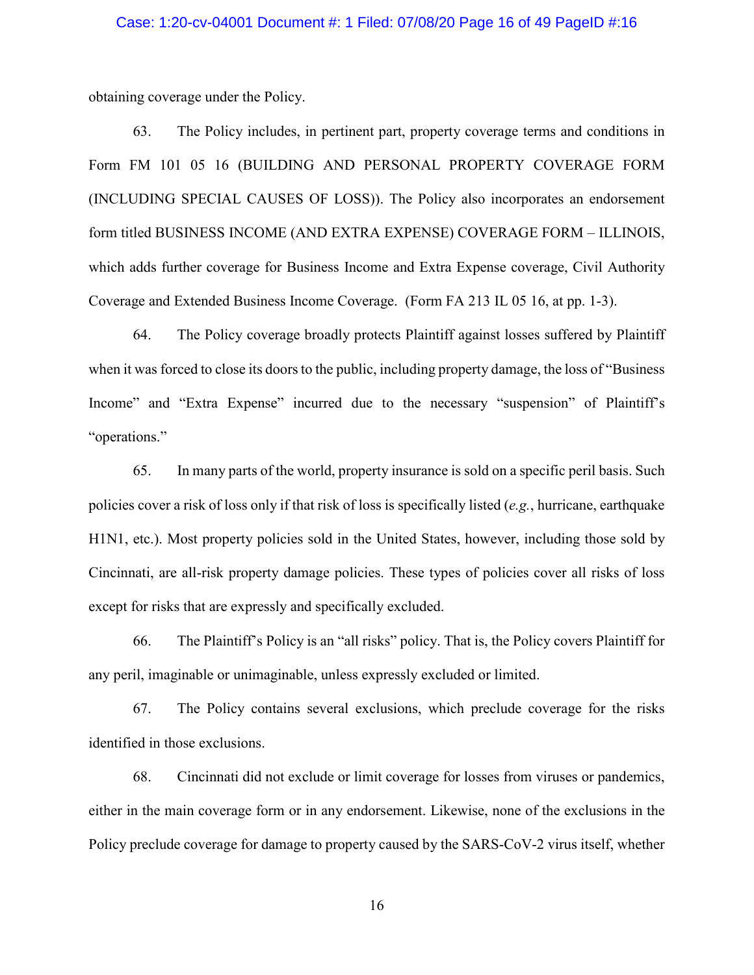### Case: 1:20-cv-04001 Document #: 1 Filed: 07/08/20 Page 16 of 49 PageID #:16

obtaining coverage under the Policy.

63. The Policy includes, in pertinent part, property coverage terms and conditions in Form FM 101 05 16 (BUILDING AND PERSONAL PROPERTY COVERAGE FORM (INCLUDING SPECIAL CAUSES OF LOSS)). The Policy also incorporates an endorsement form titled BUSINESS INCOME (AND EXTRA EXPENSE) COVERAGE FORM – ILLINOIS, which adds further coverage for Business Income and Extra Expense coverage, Civil Authority Coverage and Extended Business Income Coverage. (Form FA 213 IL 05 16, at pp. 1-3).

64. The Policy coverage broadly protects Plaintiff against losses suffered by Plaintiff when it was forced to close its doors to the public, including property damage, the loss of "Business Income" and "Extra Expense" incurred due to the necessary "suspension" of Plaintiff's "operations."

65. In many parts of the world, property insurance is sold on a specific peril basis. Such policies cover a risk of loss only if that risk of loss is specifically listed (*e.g.*, hurricane, earthquake H1N1, etc.). Most property policies sold in the United States, however, including those sold by Cincinnati, are all-risk property damage policies. These types of policies cover all risks of loss except for risks that are expressly and specifically excluded.

66. The Plaintiff's Policy is an "all risks" policy. That is, the Policy covers Plaintiff for any peril, imaginable or unimaginable, unless expressly excluded or limited.

67. The Policy contains several exclusions, which preclude coverage for the risks identified in those exclusions.

68. Cincinnati did not exclude or limit coverage for losses from viruses or pandemics, either in the main coverage form or in any endorsement. Likewise, none of the exclusions in the Policy preclude coverage for damage to property caused by the SARS-CoV-2 virus itself, whether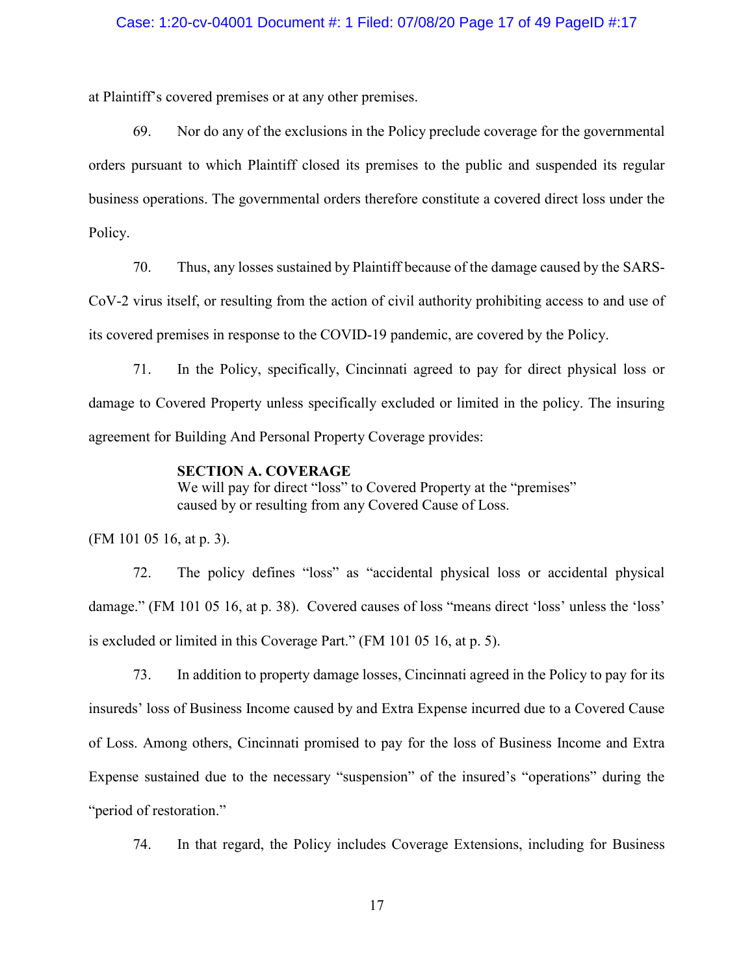at Plaintiff's covered premises or at any other premises.

69. Nor do any of the exclusions in the Policy preclude coverage for the governmental orders pursuant to which Plaintiff closed its premises to the public and suspended its regular business operations. The governmental orders therefore constitute a covered direct loss under the Policy.

70. Thus, any losses sustained by Plaintiff because of the damage caused by the SARS-CoV-2 virus itself, or resulting from the action of civil authority prohibiting access to and use of its covered premises in response to the COVID-19 pandemic, are covered by the Policy.

71. In the Policy, specifically, Cincinnati agreed to pay for direct physical loss or damage to Covered Property unless specifically excluded or limited in the policy. The insuring agreement for Building And Personal Property Coverage provides:

### **SECTION A. COVERAGE**

We will pay for direct "loss" to Covered Property at the "premises" caused by or resulting from any Covered Cause of Loss.

(FM 101 05 16, at p. 3).

72. The policy defines "loss" as "accidental physical loss or accidental physical damage." (FM 101 05 16, at p. 38). Covered causes of loss "means direct 'loss' unless the 'loss' is excluded or limited in this Coverage Part." (FM 101 05 16, at p. 5).

73. In addition to property damage losses, Cincinnati agreed in the Policy to pay for its insureds' loss of Business Income caused by and Extra Expense incurred due to a Covered Cause of Loss. Among others, Cincinnati promised to pay for the loss of Business Income and Extra Expense sustained due to the necessary "suspension" of the insured's "operations" during the "period of restoration."

74. In that regard, the Policy includes Coverage Extensions, including for Business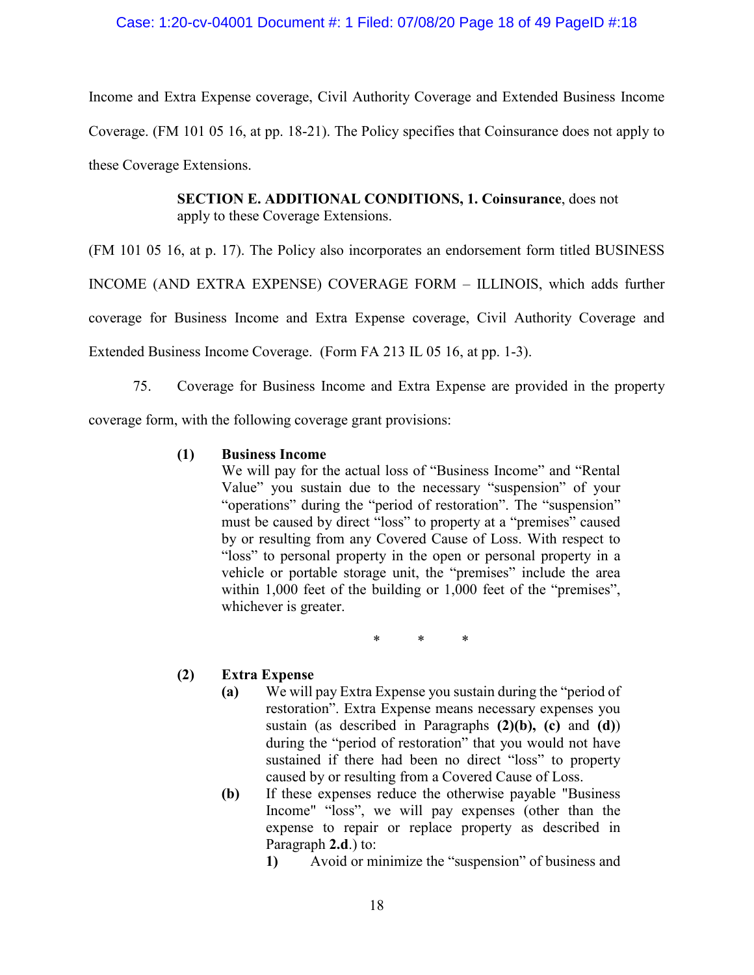Income and Extra Expense coverage, Civil Authority Coverage and Extended Business Income Coverage. (FM 101 05 16, at pp. 18-21). The Policy specifies that Coinsurance does not apply to these Coverage Extensions.

> **SECTION E. ADDITIONAL CONDITIONS, 1. Coinsurance**, does not apply to these Coverage Extensions.

(FM 101 05 16, at p. 17). The Policy also incorporates an endorsement form titled BUSINESS

INCOME (AND EXTRA EXPENSE) COVERAGE FORM – ILLINOIS, which adds further

coverage for Business Income and Extra Expense coverage, Civil Authority Coverage and

Extended Business Income Coverage. (Form FA 213 IL 05 16, at pp. 1-3).

75. Coverage for Business Income and Extra Expense are provided in the property

coverage form, with the following coverage grant provisions:

## **(1) Business Income**

We will pay for the actual loss of "Business Income" and "Rental Value" you sustain due to the necessary "suspension" of your "operations" during the "period of restoration". The "suspension" must be caused by direct "loss" to property at a "premises" caused by or resulting from any Covered Cause of Loss. With respect to "loss" to personal property in the open or personal property in a vehicle or portable storage unit, the "premises" include the area within 1,000 feet of the building or 1,000 feet of the "premises", whichever is greater.

\* \* \*

# **(2) Extra Expense**

- **(a)** We will pay Extra Expense you sustain during the "period of restoration". Extra Expense means necessary expenses you sustain (as described in Paragraphs **(2)(b), (c)** and **(d)**) during the "period of restoration" that you would not have sustained if there had been no direct "loss" to property caused by or resulting from a Covered Cause of Loss.
- **(b)** If these expenses reduce the otherwise payable "Business Income" "loss", we will pay expenses (other than the expense to repair or replace property as described in Paragraph **2.d**.) to:
	- **1)** Avoid or minimize the "suspension" of business and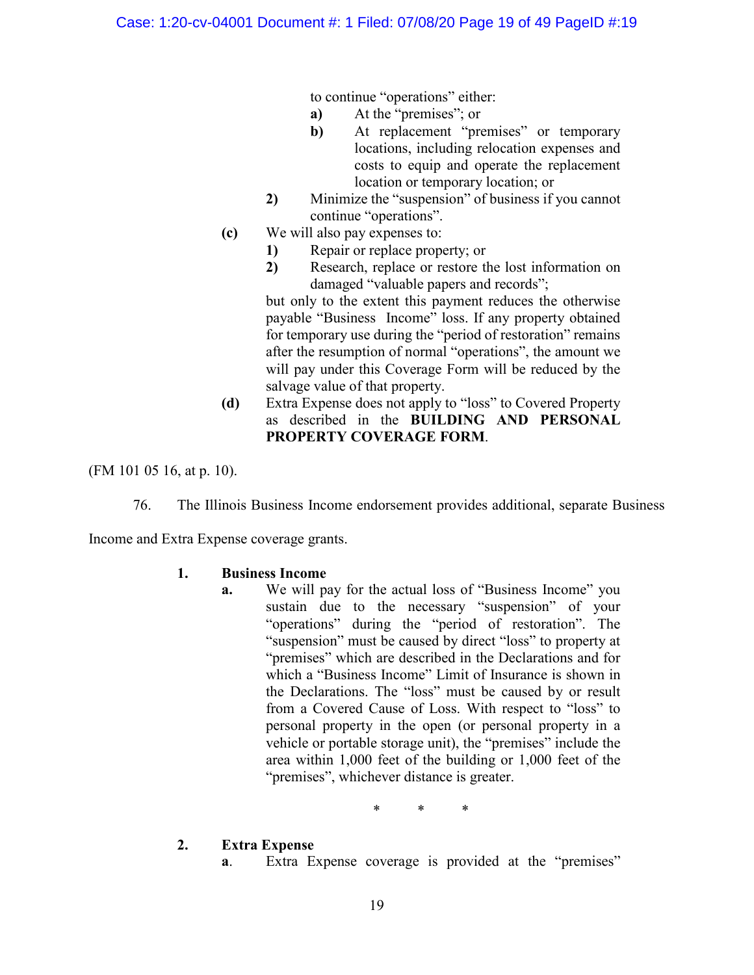to continue "operations" either:

- **a)** At the "premises"; or
- **b)** At replacement "premises" or temporary locations, including relocation expenses and costs to equip and operate the replacement location or temporary location; or
- **2)** Minimize the "suspension" of business if you cannot continue "operations".
- **(c)** We will also pay expenses to:
	- **1)** Repair or replace property; or
	- **2)** Research, replace or restore the lost information on damaged "valuable papers and records";

but only to the extent this payment reduces the otherwise payable "Business Income" loss. If any property obtained for temporary use during the "period of restoration" remains after the resumption of normal "operations", the amount we will pay under this Coverage Form will be reduced by the salvage value of that property.

**(d)** Extra Expense does not apply to "loss" to Covered Property as described in the **BUILDING AND PERSONAL PROPERTY COVERAGE FORM**.

(FM 101 05 16, at p. 10).

76. The Illinois Business Income endorsement provides additional, separate Business

Income and Extra Expense coverage grants.

## **1. Business Income**

**a.** We will pay for the actual loss of "Business Income" you sustain due to the necessary "suspension" of your "operations" during the "period of restoration". The "suspension" must be caused by direct "loss" to property at "premises" which are described in the Declarations and for which a "Business Income" Limit of Insurance is shown in the Declarations. The "loss" must be caused by or result from a Covered Cause of Loss. With respect to "loss" to personal property in the open (or personal property in a vehicle or portable storage unit), the "premises" include the area within 1,000 feet of the building or 1,000 feet of the "premises", whichever distance is greater.

\* \* \*

- **2. Extra Expense**
	- **a**. Extra Expense coverage is provided at the "premises"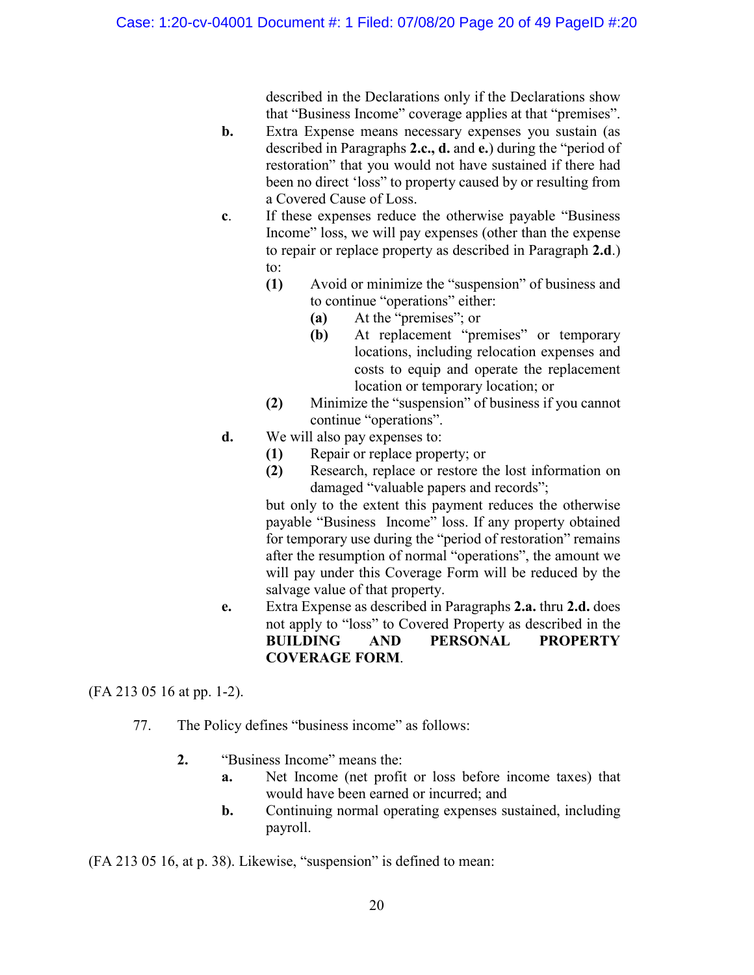described in the Declarations only if the Declarations show that "Business Income" coverage applies at that "premises".

- **b.** Extra Expense means necessary expenses you sustain (as described in Paragraphs **2.c., d.** and **e.**) during the "period of restoration" that you would not have sustained if there had been no direct 'loss" to property caused by or resulting from a Covered Cause of Loss.
- **c**. If these expenses reduce the otherwise payable "Business Income" loss, we will pay expenses (other than the expense to repair or replace property as described in Paragraph **2.d**.) to:
	- **(1)** Avoid or minimize the "suspension" of business and to continue "operations" either:
		- **(a)** At the "premises"; or
		- **(b)** At replacement "premises" or temporary locations, including relocation expenses and costs to equip and operate the replacement location or temporary location; or
	- **(2)** Minimize the "suspension" of business if you cannot continue "operations".
- **d.** We will also pay expenses to:
	- **(1)** Repair or replace property; or
	- **(2)** Research, replace or restore the lost information on damaged "valuable papers and records";

but only to the extent this payment reduces the otherwise payable "Business Income" loss. If any property obtained for temporary use during the "period of restoration" remains after the resumption of normal "operations", the amount we will pay under this Coverage Form will be reduced by the salvage value of that property.

**e.** Extra Expense as described in Paragraphs **2.a.** thru **2.d.** does not apply to "loss" to Covered Property as described in the **BUILDING AND PERSONAL PROPERTY COVERAGE FORM**.

(FA 213 05 16 at pp. 1-2).

- 77. The Policy defines "business income" as follows:
	- **2.** "Business Income" means the:
		- **a.** Net Income (net profit or loss before income taxes) that would have been earned or incurred; and
		- **b.** Continuing normal operating expenses sustained, including payroll.

(FA 213 05 16, at p. 38). Likewise, "suspension" is defined to mean: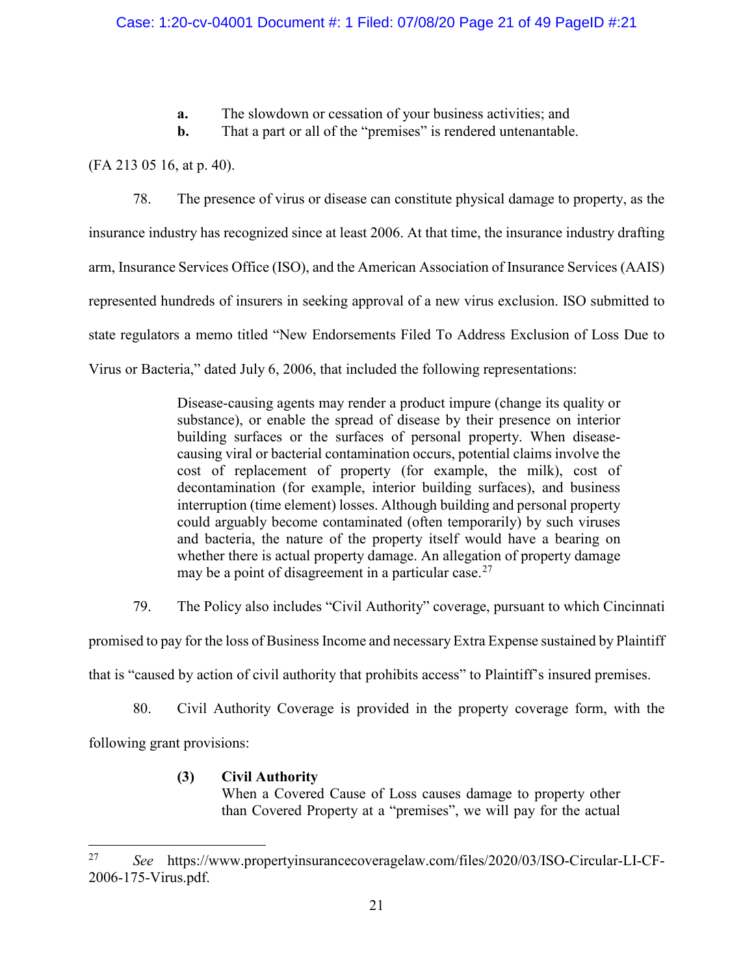**a.** The slowdown or cessation of your business activities; and

**b.** That a part or all of the "premises" is rendered untenantable.

(FA 213 05 16, at p. 40).

78. The presence of virus or disease can constitute physical damage to property, as the insurance industry has recognized since at least 2006. At that time, the insurance industry drafting arm, Insurance Services Office (ISO), and the American Association of Insurance Services (AAIS) represented hundreds of insurers in seeking approval of a new virus exclusion. ISO submitted to state regulators a memo titled "New Endorsements Filed To Address Exclusion of Loss Due to Virus or Bacteria," dated July 6, 2006, that included the following representations:

> Disease-causing agents may render a product impure (change its quality or substance), or enable the spread of disease by their presence on interior building surfaces or the surfaces of personal property. When diseasecausing viral or bacterial contamination occurs, potential claims involve the cost of replacement of property (for example, the milk), cost of decontamination (for example, interior building surfaces), and business interruption (time element) losses. Although building and personal property could arguably become contaminated (often temporarily) by such viruses and bacteria, the nature of the property itself would have a bearing on whether there is actual property damage. An allegation of property damage may be a point of disagreement in a particular case.<sup>[27](#page-20-0)</sup>

79. The Policy also includes "Civil Authority" coverage, pursuant to which Cincinnati

promised to pay for the loss of Business Income and necessary Extra Expense sustained by Plaintiff

that is "caused by action of civil authority that prohibits access" to Plaintiff's insured premises.

80. Civil Authority Coverage is provided in the property coverage form, with the

following grant provisions:

# **(3) Civil Authority**

When a Covered Cause of Loss causes damage to property other than Covered Property at a "premises", we will pay for the actual

<span id="page-20-0"></span> <sup>27</sup> *See* https://www.propertyinsurancecoveragelaw.com/files/2020/03/ISO-Circular-LI-CF-2006-175-Virus.pdf.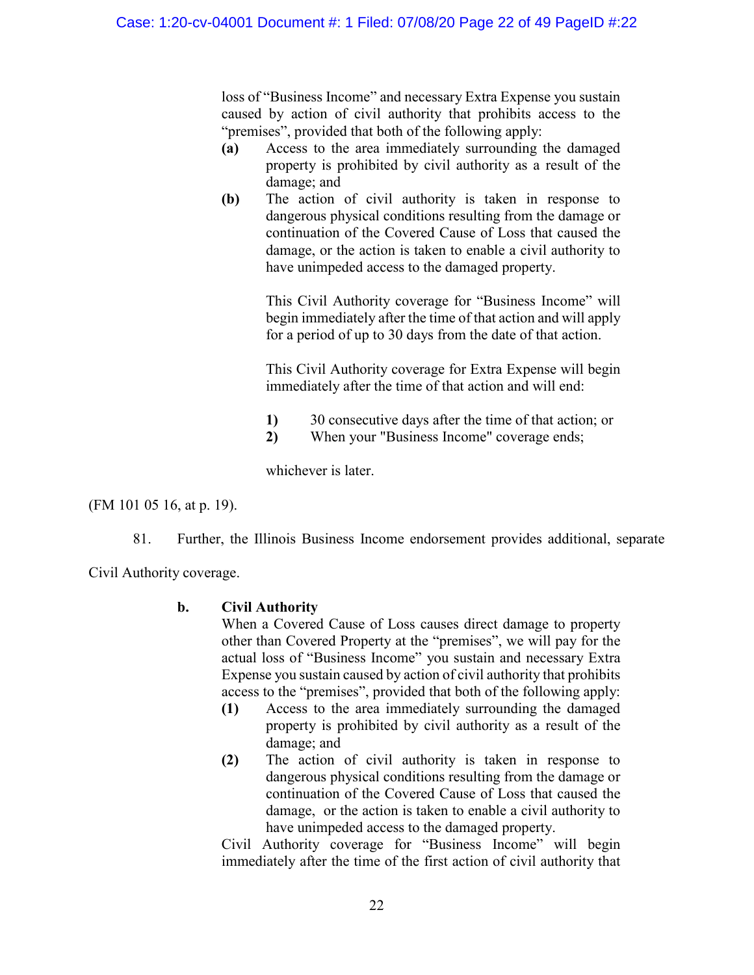loss of "Business Income" and necessary Extra Expense you sustain caused by action of civil authority that prohibits access to the "premises", provided that both of the following apply:

- **(a)** Access to the area immediately surrounding the damaged property is prohibited by civil authority as a result of the damage; and
- **(b)** The action of civil authority is taken in response to dangerous physical conditions resulting from the damage or continuation of the Covered Cause of Loss that caused the damage, or the action is taken to enable a civil authority to have unimpeded access to the damaged property.

This Civil Authority coverage for "Business Income" will begin immediately after the time of that action and will apply for a period of up to 30 days from the date of that action.

This Civil Authority coverage for Extra Expense will begin immediately after the time of that action and will end:

- **1)** 30 consecutive days after the time of that action; or
- **2)** When your "Business Income" coverage ends;

whichever is later.

(FM 101 05 16, at p. 19).

81. Further, the Illinois Business Income endorsement provides additional, separate

Civil Authority coverage.

# **b. Civil Authority**

When a Covered Cause of Loss causes direct damage to property other than Covered Property at the "premises", we will pay for the actual loss of "Business Income" you sustain and necessary Extra Expense you sustain caused by action of civil authority that prohibits access to the "premises", provided that both of the following apply:

- **(1)** Access to the area immediately surrounding the damaged property is prohibited by civil authority as a result of the damage; and
- **(2)** The action of civil authority is taken in response to dangerous physical conditions resulting from the damage or continuation of the Covered Cause of Loss that caused the damage, or the action is taken to enable a civil authority to have unimpeded access to the damaged property.

Civil Authority coverage for "Business Income" will begin immediately after the time of the first action of civil authority that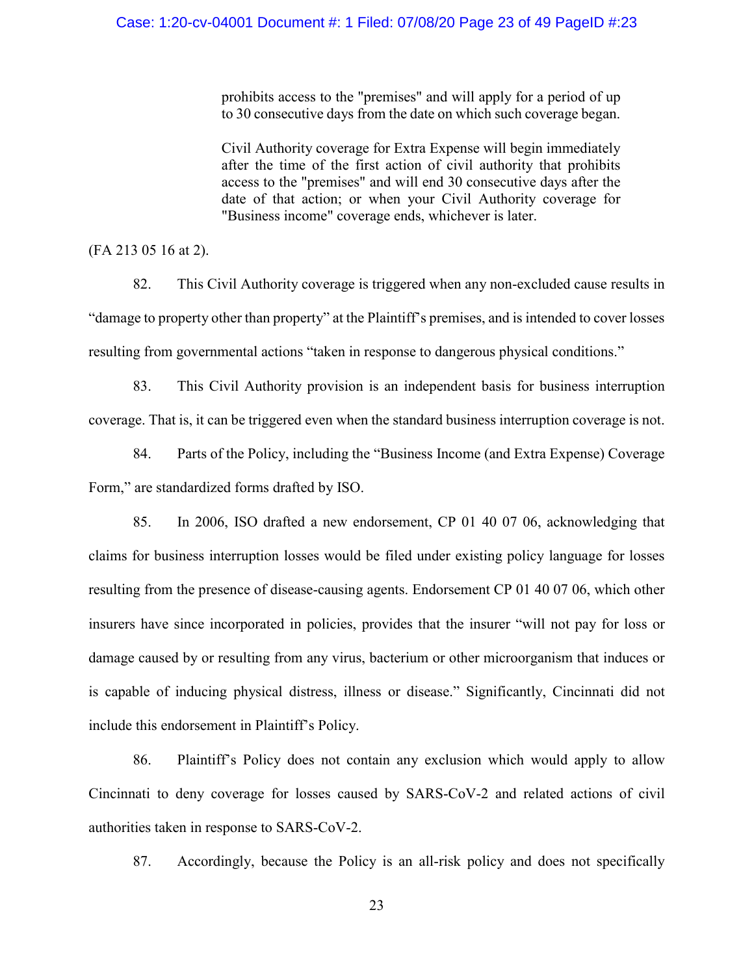prohibits access to the "premises" and will apply for a period of up to 30 consecutive days from the date on which such coverage began.

Civil Authority coverage for Extra Expense will begin immediately after the time of the first action of civil authority that prohibits access to the "premises" and will end 30 consecutive days after the date of that action; or when your Civil Authority coverage for "Business income" coverage ends, whichever is later.

(FA 213 05 16 at 2).

82. This Civil Authority coverage is triggered when any non-excluded cause results in "damage to property other than property" at the Plaintiff's premises, and is intended to cover losses resulting from governmental actions "taken in response to dangerous physical conditions."

83. This Civil Authority provision is an independent basis for business interruption coverage. That is, it can be triggered even when the standard business interruption coverage is not.

84. Parts of the Policy, including the "Business Income (and Extra Expense) Coverage Form," are standardized forms drafted by ISO.

85. In 2006, ISO drafted a new endorsement, CP 01 40 07 06, acknowledging that claims for business interruption losses would be filed under existing policy language for losses resulting from the presence of disease-causing agents. Endorsement CP 01 40 07 06, which other insurers have since incorporated in policies, provides that the insurer "will not pay for loss or damage caused by or resulting from any virus, bacterium or other microorganism that induces or is capable of inducing physical distress, illness or disease." Significantly, Cincinnati did not include this endorsement in Plaintiff's Policy.

86. Plaintiff's Policy does not contain any exclusion which would apply to allow Cincinnati to deny coverage for losses caused by SARS-CoV-2 and related actions of civil authorities taken in response to SARS-CoV-2.

87. Accordingly, because the Policy is an all-risk policy and does not specifically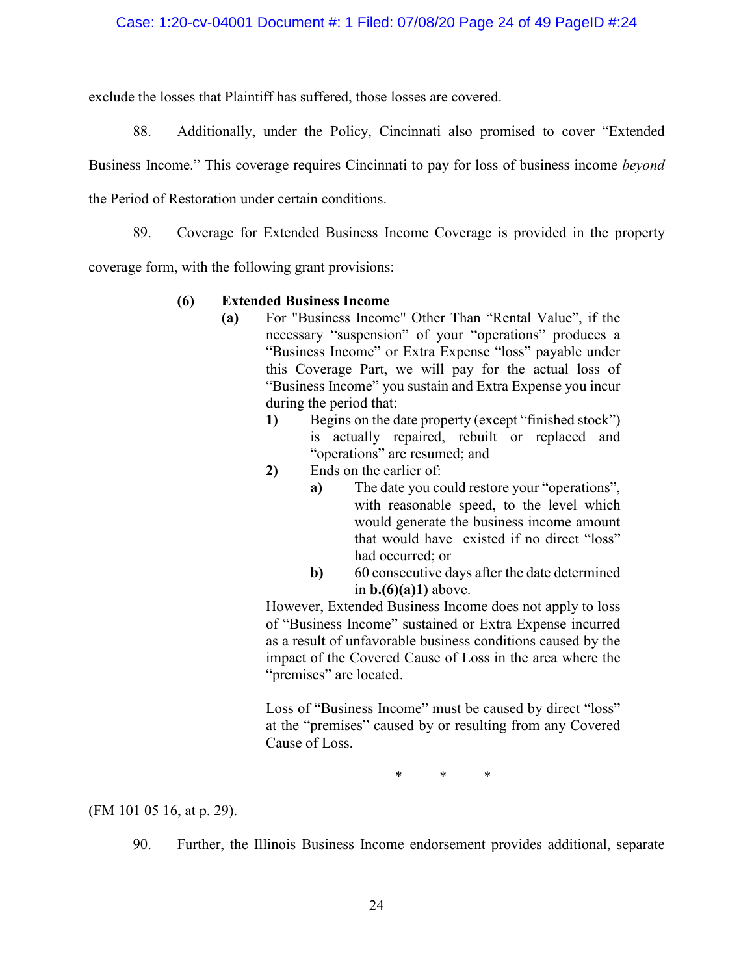## Case: 1:20-cv-04001 Document #: 1 Filed: 07/08/20 Page 24 of 49 PageID #:24

exclude the losses that Plaintiff has suffered, those losses are covered.

88. Additionally, under the Policy, Cincinnati also promised to cover "Extended Business Income." This coverage requires Cincinnati to pay for loss of business income *beyond*  the Period of Restoration under certain conditions.

89. Coverage for Extended Business Income Coverage is provided in the property coverage form, with the following grant provisions:

## **(6) Extended Business Income**

- **(a)** For "Business Income" Other Than "Rental Value", if the necessary "suspension" of your "operations" produces a "Business Income" or Extra Expense "loss" payable under this Coverage Part, we will pay for the actual loss of "Business Income" you sustain and Extra Expense you incur during the period that:
	- **1)** Begins on the date property (except "finished stock") is actually repaired, rebuilt or replaced and "operations" are resumed; and
	- **2)** Ends on the earlier of:
		- **a)** The date you could restore your "operations", with reasonable speed, to the level which would generate the business income amount that would have existed if no direct "loss" had occurred; or
		- **b**) 60 consecutive days after the date determined in **b.(6)(a)1)** above.

However, Extended Business Income does not apply to loss of "Business Income" sustained or Extra Expense incurred as a result of unfavorable business conditions caused by the impact of the Covered Cause of Loss in the area where the "premises" are located.

Loss of "Business Income" must be caused by direct "loss" at the "premises" caused by or resulting from any Covered Cause of Loss.

\* \* \*

(FM 101 05 16, at p. 29).

90. Further, the Illinois Business Income endorsement provides additional, separate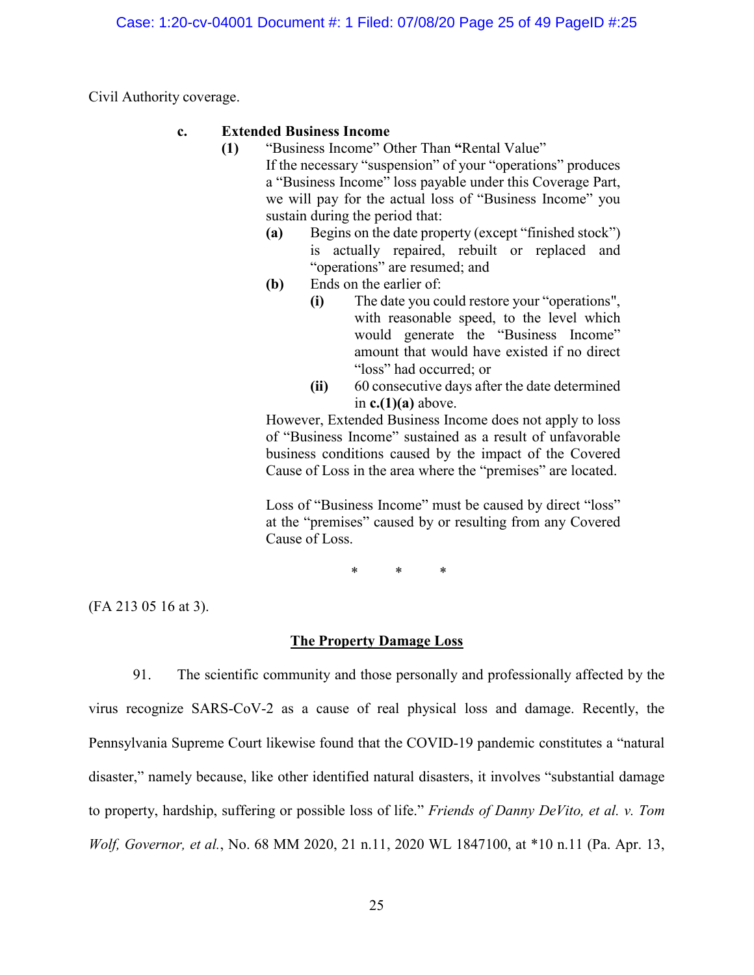Civil Authority coverage.

## **c. Extended Business Income**

- **(1)** "Business Income" Other Than **"**Rental Value" If the necessary "suspension" of your "operations" produces a "Business Income" loss payable under this Coverage Part, we will pay for the actual loss of "Business Income" you sustain during the period that:
	- **(a)** Begins on the date property (except "finished stock") is actually repaired, rebuilt or replaced and "operations" are resumed; and
	- **(b)** Ends on the earlier of:
		- **(i)** The date you could restore your "operations", with reasonable speed, to the level which would generate the "Business Income" amount that would have existed if no direct "loss" had occurred; or
		- **(ii)** 60 consecutive days after the date determined in **c.(1)(a)** above.

However, Extended Business Income does not apply to loss of "Business Income" sustained as a result of unfavorable business conditions caused by the impact of the Covered Cause of Loss in the area where the "premises" are located.

Loss of "Business Income" must be caused by direct "loss" at the "premises" caused by or resulting from any Covered Cause of Loss.

\* \* \*

(FA 213 05 16 at 3).

# **The Property Damage Loss**

91. The scientific community and those personally and professionally affected by the virus recognize SARS-CoV-2 as a cause of real physical loss and damage. Recently, the Pennsylvania Supreme Court likewise found that the COVID-19 pandemic constitutes a "natural disaster," namely because, like other identified natural disasters, it involves "substantial damage to property, hardship, suffering or possible loss of life." *Friends of Danny DeVito, et al. v. Tom Wolf, Governor, et al.*, No. 68 MM 2020, 21 n.11, 2020 WL 1847100, at \*10 n.11 (Pa. Apr. 13,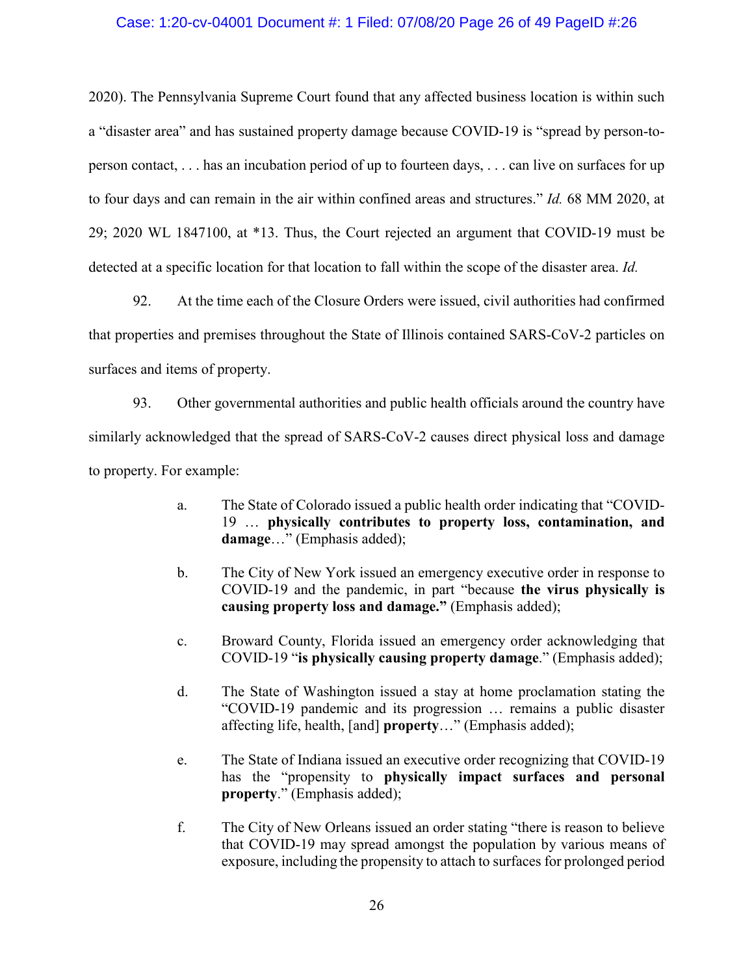## Case: 1:20-cv-04001 Document #: 1 Filed: 07/08/20 Page 26 of 49 PageID #:26

2020). The Pennsylvania Supreme Court found that any affected business location is within such a "disaster area" and has sustained property damage because COVID-19 is "spread by person-toperson contact, . . . has an incubation period of up to fourteen days, . . . can live on surfaces for up to four days and can remain in the air within confined areas and structures." *Id.* 68 MM 2020, at 29; 2020 WL 1847100, at \*13. Thus, the Court rejected an argument that COVID-19 must be detected at a specific location for that location to fall within the scope of the disaster area. *Id.*

92. At the time each of the Closure Orders were issued, civil authorities had confirmed that properties and premises throughout the State of Illinois contained SARS-CoV-2 particles on surfaces and items of property.

93. Other governmental authorities and public health officials around the country have similarly acknowledged that the spread of SARS-CoV-2 causes direct physical loss and damage to property. For example:

- a. The State of Colorado issued a public health order indicating that "COVID-19 … **physically contributes to property loss, contamination, and damage**…" (Emphasis added);
- b. The City of New York issued an emergency executive order in response to COVID-19 and the pandemic, in part "because **the virus physically is causing property loss and damage."** (Emphasis added);
- c. Broward County, Florida issued an emergency order acknowledging that COVID-19 "**is physically causing property damage**." (Emphasis added);
- d. The State of Washington issued a stay at home proclamation stating the "COVID-19 pandemic and its progression … remains a public disaster affecting life, health, [and] **property**…" (Emphasis added);
- e. The State of Indiana issued an executive order recognizing that COVID-19 has the "propensity to **physically impact surfaces and personal property**." (Emphasis added);
- f. The City of New Orleans issued an order stating "there is reason to believe that COVID-19 may spread amongst the population by various means of exposure, including the propensity to attach to surfaces for prolonged period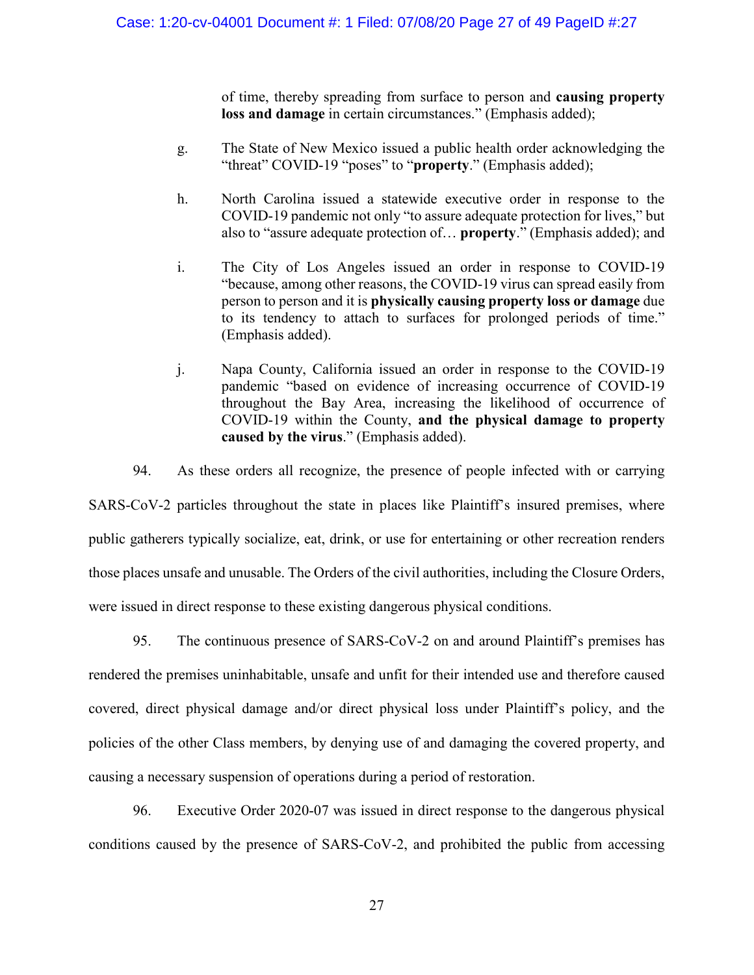of time, thereby spreading from surface to person and **causing property loss and damage** in certain circumstances." (Emphasis added);

- g. The State of New Mexico issued a public health order acknowledging the "threat" COVID-19 "poses" to "**property**." (Emphasis added);
- h. North Carolina issued a statewide executive order in response to the COVID-19 pandemic not only "to assure adequate protection for lives," but also to "assure adequate protection of… **property**." (Emphasis added); and
- i. The City of Los Angeles issued an order in response to COVID-19 "because, among other reasons, the COVID-19 virus can spread easily from person to person and it is **physically causing property loss or damage** due to its tendency to attach to surfaces for prolonged periods of time." (Emphasis added).
- j. Napa County, California issued an order in response to the COVID-19 pandemic "based on evidence of increasing occurrence of COVID-19 throughout the Bay Area, increasing the likelihood of occurrence of COVID-19 within the County, **and the physical damage to property caused by the virus**." (Emphasis added).

94. As these orders all recognize, the presence of people infected with or carrying

SARS-CoV-2 particles throughout the state in places like Plaintiff's insured premises, where public gatherers typically socialize, eat, drink, or use for entertaining or other recreation renders those places unsafe and unusable. The Orders of the civil authorities, including the Closure Orders, were issued in direct response to these existing dangerous physical conditions.

95. The continuous presence of SARS-CoV-2 on and around Plaintiff's premises has rendered the premises uninhabitable, unsafe and unfit for their intended use and therefore caused covered, direct physical damage and/or direct physical loss under Plaintiff's policy, and the policies of the other Class members, by denying use of and damaging the covered property, and causing a necessary suspension of operations during a period of restoration.

96. Executive Order 2020-07 was issued in direct response to the dangerous physical conditions caused by the presence of SARS-CoV-2, and prohibited the public from accessing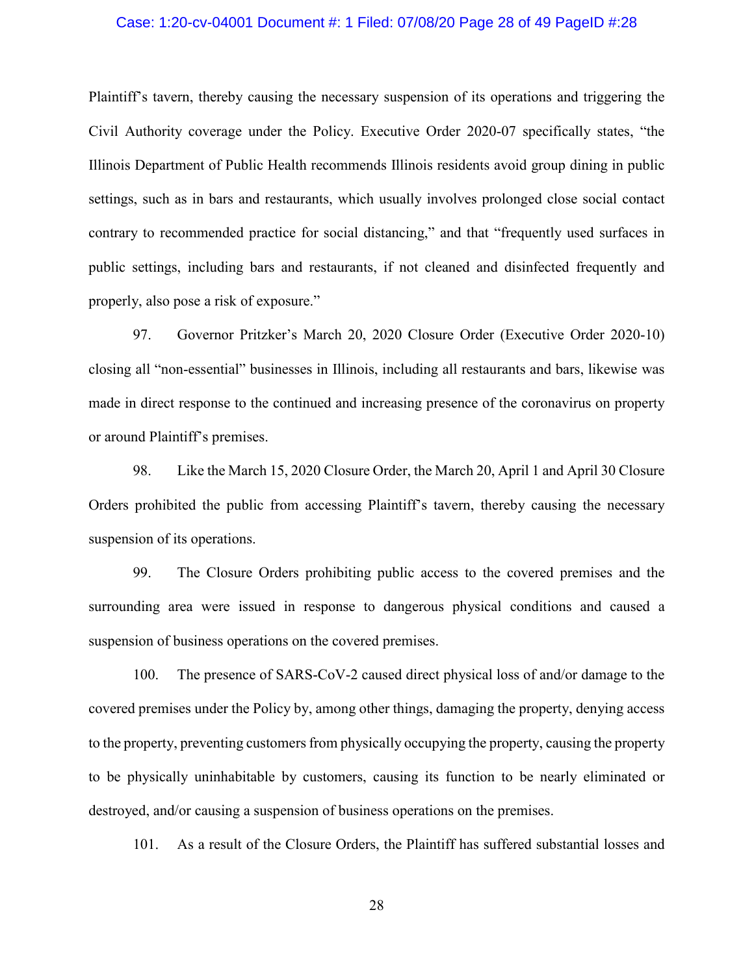### Case: 1:20-cv-04001 Document #: 1 Filed: 07/08/20 Page 28 of 49 PageID #:28

Plaintiff's tavern, thereby causing the necessary suspension of its operations and triggering the Civil Authority coverage under the Policy. Executive Order 2020-07 specifically states, "the Illinois Department of Public Health recommends Illinois residents avoid group dining in public settings, such as in bars and restaurants, which usually involves prolonged close social contact contrary to recommended practice for social distancing," and that "frequently used surfaces in public settings, including bars and restaurants, if not cleaned and disinfected frequently and properly, also pose a risk of exposure."

97. Governor Pritzker's March 20, 2020 Closure Order (Executive Order 2020-10) closing all "non-essential" businesses in Illinois, including all restaurants and bars, likewise was made in direct response to the continued and increasing presence of the coronavirus on property or around Plaintiff's premises.

98. Like the March 15, 2020 Closure Order, the March 20, April 1 and April 30 Closure Orders prohibited the public from accessing Plaintiff's tavern, thereby causing the necessary suspension of its operations.

99. The Closure Orders prohibiting public access to the covered premises and the surrounding area were issued in response to dangerous physical conditions and caused a suspension of business operations on the covered premises.

100. The presence of SARS-CoV-2 caused direct physical loss of and/or damage to the covered premises under the Policy by, among other things, damaging the property, denying access to the property, preventing customers from physically occupying the property, causing the property to be physically uninhabitable by customers, causing its function to be nearly eliminated or destroyed, and/or causing a suspension of business operations on the premises.

101. As a result of the Closure Orders, the Plaintiff has suffered substantial losses and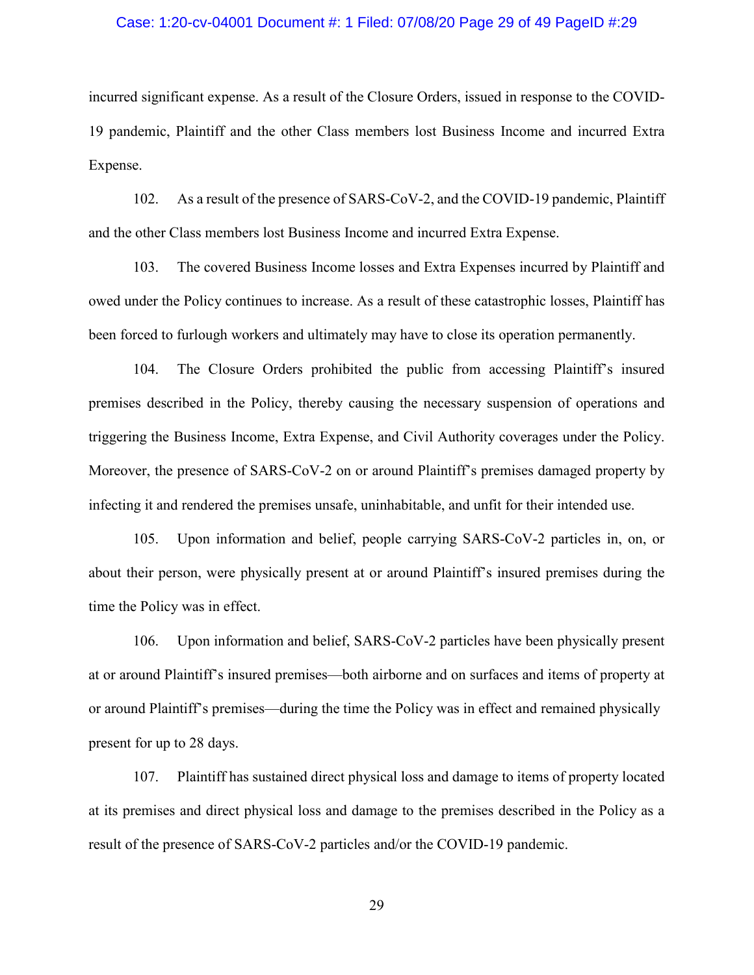### Case: 1:20-cv-04001 Document #: 1 Filed: 07/08/20 Page 29 of 49 PageID #:29

incurred significant expense. As a result of the Closure Orders, issued in response to the COVID-19 pandemic, Plaintiff and the other Class members lost Business Income and incurred Extra Expense.

102. As a result of the presence of SARS-CoV-2, and the COVID-19 pandemic, Plaintiff and the other Class members lost Business Income and incurred Extra Expense.

103. The covered Business Income losses and Extra Expenses incurred by Plaintiff and owed under the Policy continues to increase. As a result of these catastrophic losses, Plaintiff has been forced to furlough workers and ultimately may have to close its operation permanently.

104. The Closure Orders prohibited the public from accessing Plaintiff's insured premises described in the Policy, thereby causing the necessary suspension of operations and triggering the Business Income, Extra Expense, and Civil Authority coverages under the Policy. Moreover, the presence of SARS-CoV-2 on or around Plaintiff's premises damaged property by infecting it and rendered the premises unsafe, uninhabitable, and unfit for their intended use.

105. Upon information and belief, people carrying SARS-CoV-2 particles in, on, or about their person, were physically present at or around Plaintiff's insured premises during the time the Policy was in effect.

106. Upon information and belief, SARS-CoV-2 particles have been physically present at or around Plaintiff's insured premises—both airborne and on surfaces and items of property at or around Plaintiff's premises—during the time the Policy was in effect and remained physically present for up to 28 days.

107. Plaintiff has sustained direct physical loss and damage to items of property located at its premises and direct physical loss and damage to the premises described in the Policy as a result of the presence of SARS-CoV-2 particles and/or the COVID-19 pandemic.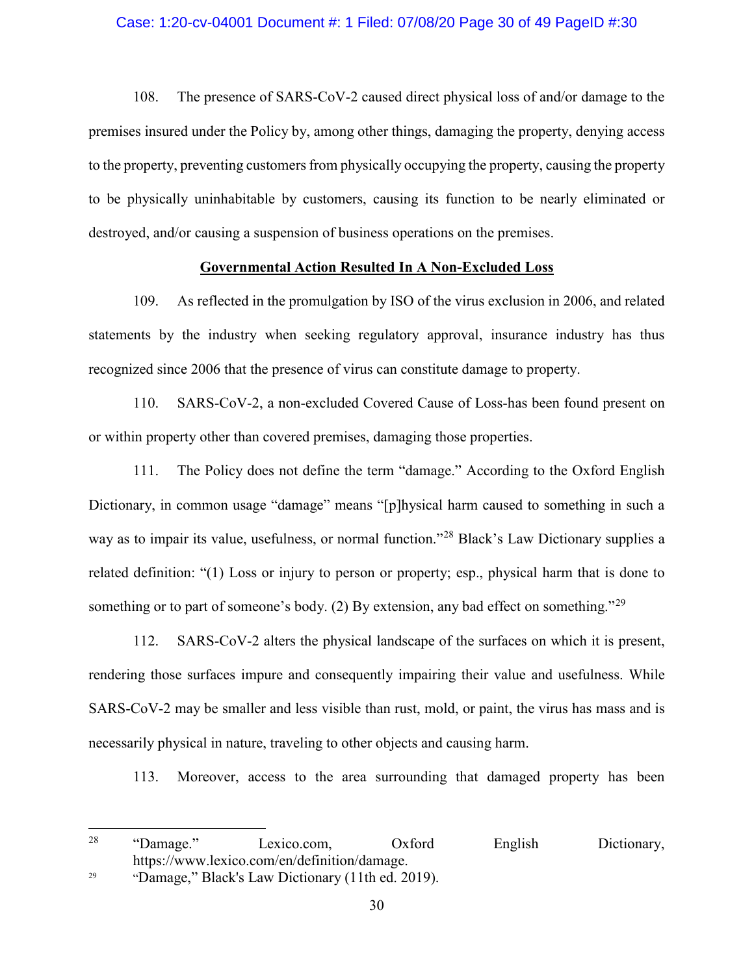### Case: 1:20-cv-04001 Document #: 1 Filed: 07/08/20 Page 30 of 49 PageID #:30

108. The presence of SARS-CoV-2 caused direct physical loss of and/or damage to the premises insured under the Policy by, among other things, damaging the property, denying access to the property, preventing customers from physically occupying the property, causing the property to be physically uninhabitable by customers, causing its function to be nearly eliminated or destroyed, and/or causing a suspension of business operations on the premises.

## **Governmental Action Resulted In A Non-Excluded Loss**

109. As reflected in the promulgation by ISO of the virus exclusion in 2006, and related statements by the industry when seeking regulatory approval, insurance industry has thus recognized since 2006 that the presence of virus can constitute damage to property.

110. SARS-CoV-2, a non-excluded Covered Cause of Loss-has been found present on or within property other than covered premises, damaging those properties.

111. The Policy does not define the term "damage." According to the Oxford English Dictionary, in common usage "damage" means "[p]hysical harm caused to something in such a way as to impair its value, usefulness, or normal function."<sup>[28](#page-29-0)</sup> Black's Law Dictionary supplies a related definition: "(1) Loss or injury to person or property; esp., physical harm that is done to something or to part of someone's body. (2) By extension, any bad effect on something."<sup>[29](#page-29-1)</sup>

112. SARS-CoV-2 alters the physical landscape of the surfaces on which it is present, rendering those surfaces impure and consequently impairing their value and usefulness. While SARS-CoV-2 may be smaller and less visible than rust, mold, or paint, the virus has mass and is necessarily physical in nature, traveling to other objects and causing harm.

113. Moreover, access to the area surrounding that damaged property has been

<span id="page-29-0"></span><sup>&</sup>lt;sup>28</sup> "Damage." Lexico.com, Oxford English Dictionary, https://www.lexico.com/en/definition/damage.

<span id="page-29-1"></span><sup>29</sup> "Damage," Black's Law Dictionary (11th ed. 2019).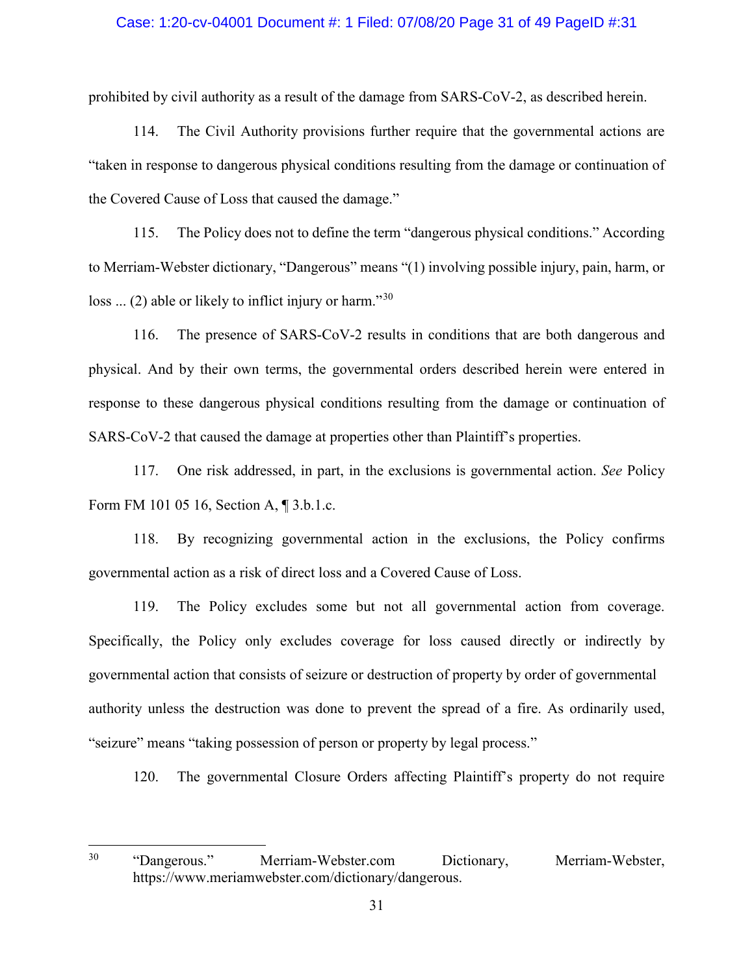### Case: 1:20-cv-04001 Document #: 1 Filed: 07/08/20 Page 31 of 49 PageID #:31

prohibited by civil authority as a result of the damage from SARS-CoV-2, as described herein.

114. The Civil Authority provisions further require that the governmental actions are "taken in response to dangerous physical conditions resulting from the damage or continuation of the Covered Cause of Loss that caused the damage."

115. The Policy does not to define the term "dangerous physical conditions." According to Merriam-Webster dictionary, "Dangerous" means "(1) involving possible injury, pain, harm, or  $loss$  ... (2) able or likely to inflict injury or harm."<sup>[30](#page-30-0)</sup>

116. The presence of SARS-CoV-2 results in conditions that are both dangerous and physical. And by their own terms, the governmental orders described herein were entered in response to these dangerous physical conditions resulting from the damage or continuation of SARS-CoV-2 that caused the damage at properties other than Plaintiff's properties.

117. One risk addressed, in part, in the exclusions is governmental action. *See* Policy Form FM 101 05 16, Section A, ¶ 3.b.1.c.

118. By recognizing governmental action in the exclusions, the Policy confirms governmental action as a risk of direct loss and a Covered Cause of Loss.

119. The Policy excludes some but not all governmental action from coverage. Specifically, the Policy only excludes coverage for loss caused directly or indirectly by governmental action that consists of seizure or destruction of property by order of governmental authority unless the destruction was done to prevent the spread of a fire. As ordinarily used, "seizure" means "taking possession of person or property by legal process."

120. The governmental Closure Orders affecting Plaintiff's property do not require

<span id="page-30-0"></span><sup>&</sup>lt;sup>30</sup> "Dangerous." Merriam-Webster.com Dictionary, Merriam-Webster, https://www.meriamwebster.com/dictionary/dangerous.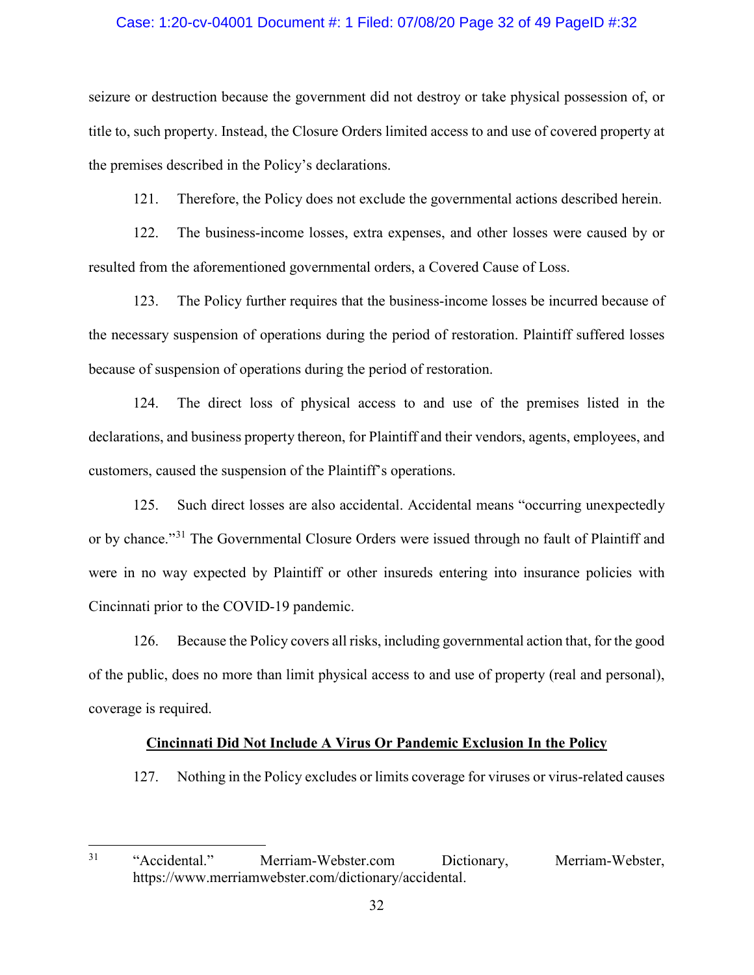### Case: 1:20-cv-04001 Document #: 1 Filed: 07/08/20 Page 32 of 49 PageID #:32

seizure or destruction because the government did not destroy or take physical possession of, or title to, such property. Instead, the Closure Orders limited access to and use of covered property at the premises described in the Policy's declarations.

121. Therefore, the Policy does not exclude the governmental actions described herein.

122. The business-income losses, extra expenses, and other losses were caused by or resulted from the aforementioned governmental orders, a Covered Cause of Loss.

123. The Policy further requires that the business-income losses be incurred because of the necessary suspension of operations during the period of restoration. Plaintiff suffered losses because of suspension of operations during the period of restoration.

124. The direct loss of physical access to and use of the premises listed in the declarations, and business property thereon, for Plaintiff and their vendors, agents, employees, and customers, caused the suspension of the Plaintiff's operations.

125. Such direct losses are also accidental. Accidental means "occurring unexpectedly or by chance."<sup>[31](#page-31-0)</sup> The Governmental Closure Orders were issued through no fault of Plaintiff and were in no way expected by Plaintiff or other insureds entering into insurance policies with Cincinnati prior to the COVID-19 pandemic.

126. Because the Policy covers all risks, including governmental action that, for the good of the public, does no more than limit physical access to and use of property (real and personal), coverage is required.

### **Cincinnati Did Not Include A Virus Or Pandemic Exclusion In the Policy**

127. Nothing in the Policy excludes or limits coverage for viruses or virus-related causes

<span id="page-31-0"></span><sup>&</sup>lt;sup>31</sup> "Accidental." Merriam-Webster.com Dictionary, Merriam-Webster, https://www.merriamwebster.com/dictionary/accidental.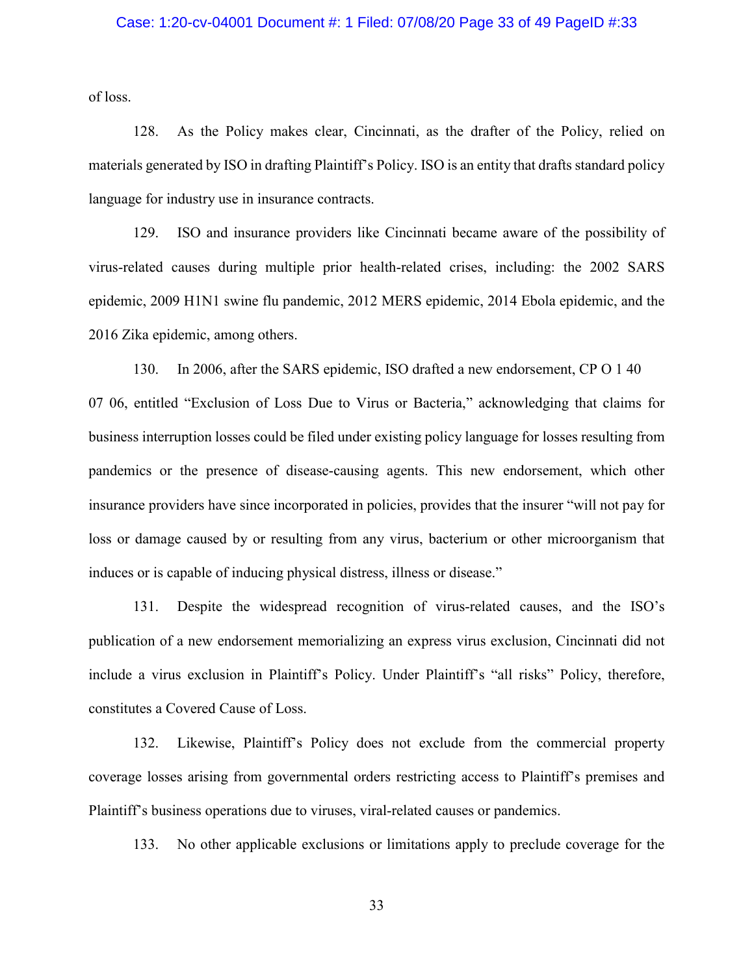## Case: 1:20-cv-04001 Document #: 1 Filed: 07/08/20 Page 33 of 49 PageID #:33

of loss.

128. As the Policy makes clear, Cincinnati, as the drafter of the Policy, relied on materials generated by ISO in drafting Plaintiff's Policy. ISO is an entity that drafts standard policy language for industry use in insurance contracts.

129. ISO and insurance providers like Cincinnati became aware of the possibility of virus-related causes during multiple prior health-related crises, including: the 2002 SARS epidemic, 2009 H1N1 swine flu pandemic, 2012 MERS epidemic, 2014 Ebola epidemic, and the 2016 Zika epidemic, among others.

130. In 2006, after the SARS epidemic, ISO drafted a new endorsement, CP O 1 40 07 06, entitled "Exclusion of Loss Due to Virus or Bacteria," acknowledging that claims for business interruption losses could be filed under existing policy language for losses resulting from pandemics or the presence of disease-causing agents. This new endorsement, which other insurance providers have since incorporated in policies, provides that the insurer "will not pay for loss or damage caused by or resulting from any virus, bacterium or other microorganism that induces or is capable of inducing physical distress, illness or disease."

131. Despite the widespread recognition of virus-related causes, and the ISO's publication of a new endorsement memorializing an express virus exclusion, Cincinnati did not include a virus exclusion in Plaintiff's Policy. Under Plaintiff's "all risks" Policy, therefore, constitutes a Covered Cause of Loss.

132. Likewise, Plaintiff's Policy does not exclude from the commercial property coverage losses arising from governmental orders restricting access to Plaintiff's premises and Plaintiff's business operations due to viruses, viral-related causes or pandemics.

133. No other applicable exclusions or limitations apply to preclude coverage for the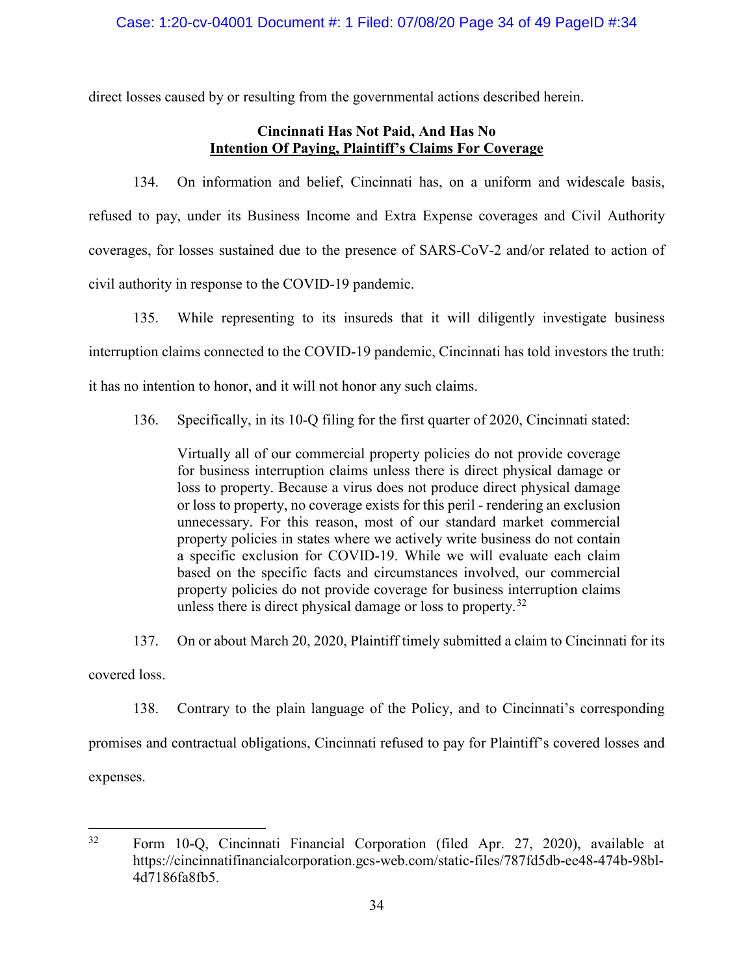direct losses caused by or resulting from the governmental actions described herein.

# **Cincinnati Has Not Paid, And Has No Intention Of Paying, Plaintiff's Claims For Coverage**

134. On information and belief, Cincinnati has, on a uniform and widescale basis, refused to pay, under its Business Income and Extra Expense coverages and Civil Authority coverages, for losses sustained due to the presence of SARS-CoV-2 and/or related to action of civil authority in response to the COVID-19 pandemic.

135. While representing to its insureds that it will diligently investigate business interruption claims connected to the COVID-19 pandemic, Cincinnati has told investors the truth: it has no intention to honor, and it will not honor any such claims.

136. Specifically, in its 10-Q filing for the first quarter of 2020, Cincinnati stated:

Virtually all of our commercial property policies do not provide coverage for business interruption claims unless there is direct physical damage or loss to property. Because a virus does not produce direct physical damage or loss to property, no coverage exists for this peril - rendering an exclusion unnecessary. For this reason, most of our standard market commercial property policies in states where we actively write business do not contain a specific exclusion for COVID-19. While we will evaluate each claim based on the specific facts and circumstances involved, our commercial property policies do not provide coverage for business interruption claims unless there is direct physical damage or loss to property.<sup>[32](#page-33-0)</sup>

137. On or about March 20, 2020, Plaintiff timely submitted a claim to Cincinnati for its

covered loss.

138. Contrary to the plain language of the Policy, and to Cincinnati's corresponding promises and contractual obligations, Cincinnati refused to pay for Plaintiff's covered losses and expenses.

<span id="page-33-0"></span> <sup>32</sup> Form 10-Q, Cincinnati Financial Corporation (filed Apr. 27, 2020), available at https://cincinnatifinancialcorporation.gcs-web.com/static-files/787fd5db-ee48-474b-98bl-4d7186fa8fb5.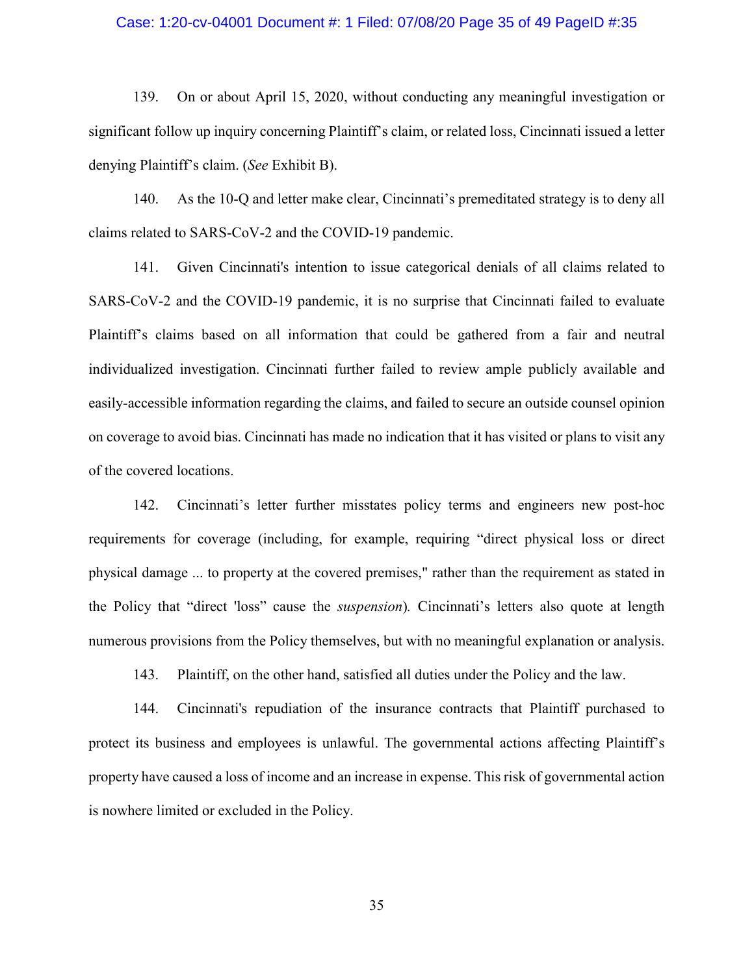### Case: 1:20-cv-04001 Document #: 1 Filed: 07/08/20 Page 35 of 49 PageID #:35

139. On or about April 15, 2020, without conducting any meaningful investigation or significant follow up inquiry concerning Plaintiff's claim, or related loss, Cincinnati issued a letter denying Plaintiff's claim. (*See* Exhibit B).

140. As the 10-Q and letter make clear, Cincinnati's premeditated strategy is to deny all claims related to SARS-CoV-2 and the COVID-19 pandemic.

141. Given Cincinnati's intention to issue categorical denials of all claims related to SARS-CoV-2 and the COVID-19 pandemic, it is no surprise that Cincinnati failed to evaluate Plaintiff's claims based on all information that could be gathered from a fair and neutral individualized investigation. Cincinnati further failed to review ample publicly available and easily-accessible information regarding the claims, and failed to secure an outside counsel opinion on coverage to avoid bias. Cincinnati has made no indication that it has visited or plans to visit any of the covered locations.

142. Cincinnati's letter further misstates policy terms and engineers new post-hoc requirements for coverage (including, for example, requiring "direct physical loss or direct physical damage ... to property at the covered premises," rather than the requirement as stated in the Policy that "direct 'loss" cause the *suspension*)*.* Cincinnati's letters also quote at length numerous provisions from the Policy themselves, but with no meaningful explanation or analysis.

143. Plaintiff, on the other hand, satisfied all duties under the Policy and the law.

144. Cincinnati's repudiation of the insurance contracts that Plaintiff purchased to protect its business and employees is unlawful. The governmental actions affecting Plaintiff's property have caused a loss of income and an increase in expense. This risk of governmental action is nowhere limited or excluded in the Policy.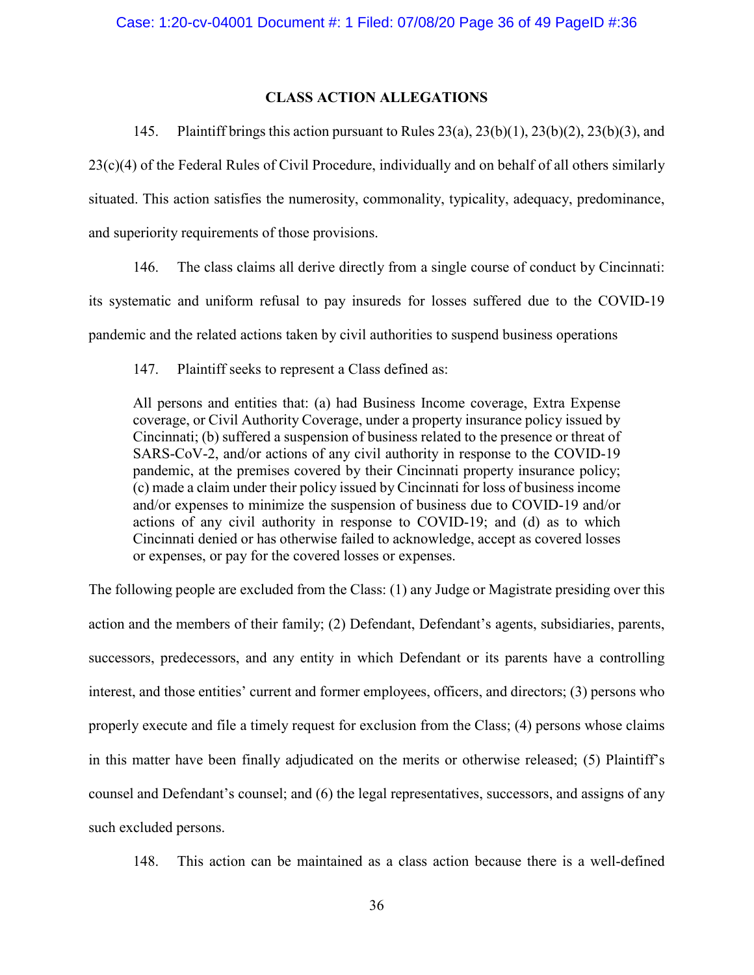## **CLASS ACTION ALLEGATIONS**

145. Plaintiff brings this action pursuant to Rules 23(a), 23(b)(1), 23(b)(2), 23(b)(3), and 23(c)(4) of the Federal Rules of Civil Procedure, individually and on behalf of all others similarly situated. This action satisfies the numerosity, commonality, typicality, adequacy, predominance, and superiority requirements of those provisions.

146. The class claims all derive directly from a single course of conduct by Cincinnati: its systematic and uniform refusal to pay insureds for losses suffered due to the COVID-19 pandemic and the related actions taken by civil authorities to suspend business operations

147. Plaintiff seeks to represent a Class defined as:

All persons and entities that: (a) had Business Income coverage, Extra Expense coverage, or Civil Authority Coverage, under a property insurance policy issued by Cincinnati; (b) suffered a suspension of business related to the presence or threat of SARS-CoV-2, and/or actions of any civil authority in response to the COVID-19 pandemic, at the premises covered by their Cincinnati property insurance policy; (c) made a claim under their policy issued by Cincinnati for loss of business income and/or expenses to minimize the suspension of business due to COVID-19 and/or actions of any civil authority in response to COVID-19; and (d) as to which Cincinnati denied or has otherwise failed to acknowledge, accept as covered losses or expenses, or pay for the covered losses or expenses.

The following people are excluded from the Class: (1) any Judge or Magistrate presiding over this action and the members of their family; (2) Defendant, Defendant's agents, subsidiaries, parents, successors, predecessors, and any entity in which Defendant or its parents have a controlling interest, and those entities' current and former employees, officers, and directors; (3) persons who properly execute and file a timely request for exclusion from the Class; (4) persons whose claims in this matter have been finally adjudicated on the merits or otherwise released; (5) Plaintiff's counsel and Defendant's counsel; and (6) the legal representatives, successors, and assigns of any such excluded persons.

148. This action can be maintained as a class action because there is a well-defined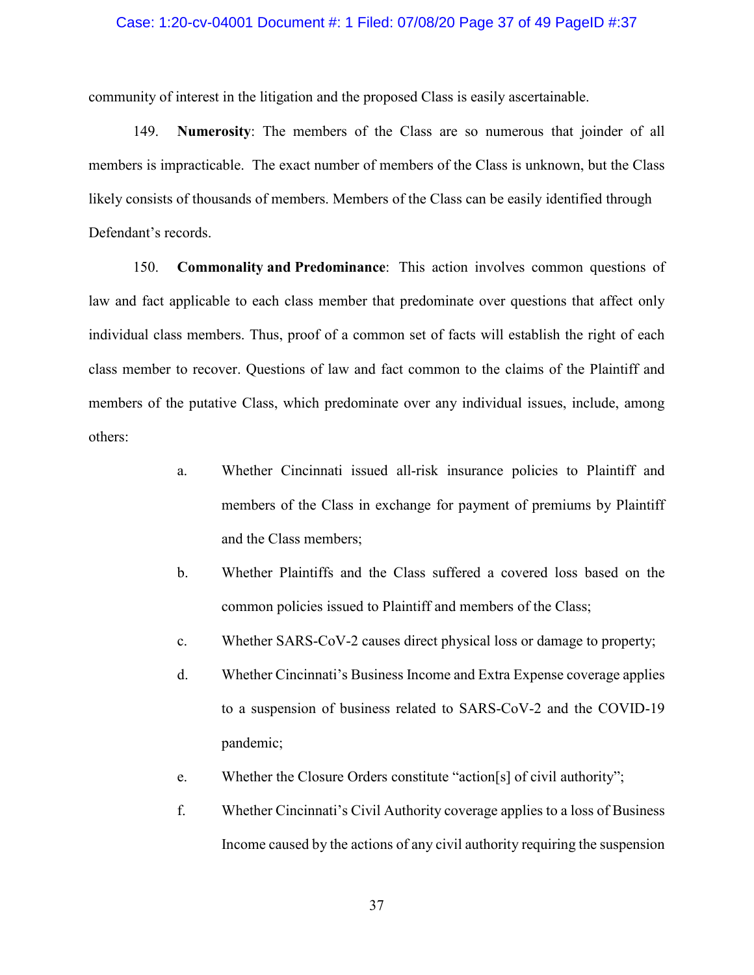### Case: 1:20-cv-04001 Document #: 1 Filed: 07/08/20 Page 37 of 49 PageID #:37

community of interest in the litigation and the proposed Class is easily ascertainable.

149. **Numerosity**: The members of the Class are so numerous that joinder of all members is impracticable. The exact number of members of the Class is unknown, but the Class likely consists of thousands of members. Members of the Class can be easily identified through Defendant's records.

150. **Commonality and Predominance**: This action involves common questions of law and fact applicable to each class member that predominate over questions that affect only individual class members. Thus, proof of a common set of facts will establish the right of each class member to recover. Questions of law and fact common to the claims of the Plaintiff and members of the putative Class, which predominate over any individual issues, include, among others:

- a. Whether Cincinnati issued all-risk insurance policies to Plaintiff and members of the Class in exchange for payment of premiums by Plaintiff and the Class members;
- b. Whether Plaintiffs and the Class suffered a covered loss based on the common policies issued to Plaintiff and members of the Class;
- c. Whether SARS-CoV-2 causes direct physical loss or damage to property;
- d. Whether Cincinnati's Business Income and Extra Expense coverage applies to a suspension of business related to SARS-CoV-2 and the COVID-19 pandemic;
- e. Whether the Closure Orders constitute "action[s] of civil authority";
- f. Whether Cincinnati's Civil Authority coverage applies to a loss of Business Income caused by the actions of any civil authority requiring the suspension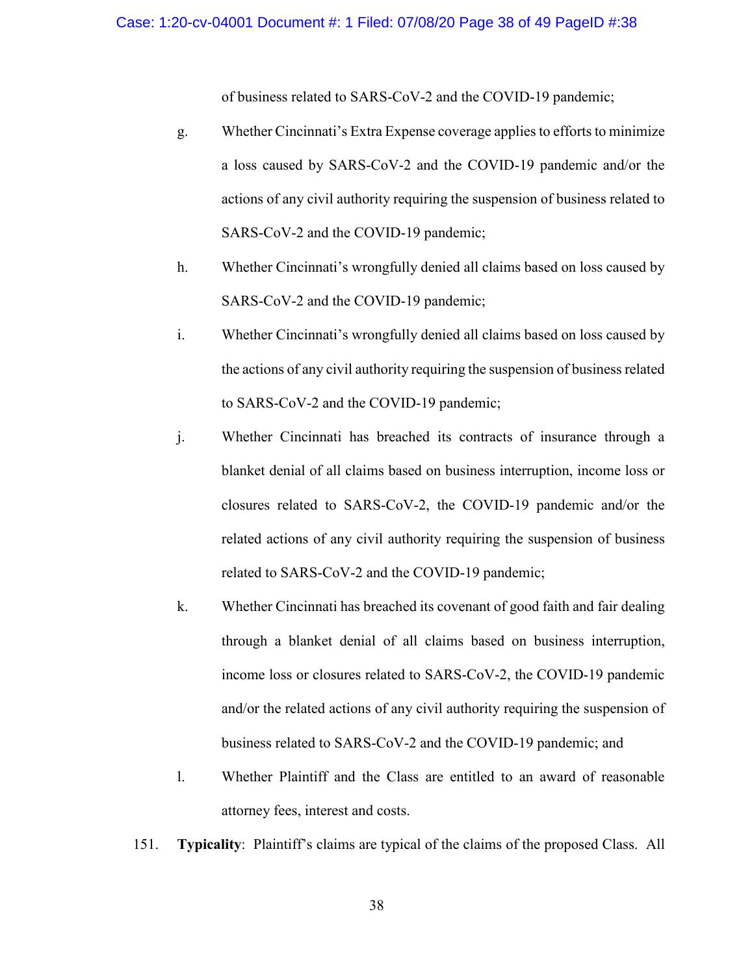of business related to SARS-CoV-2 and the COVID-19 pandemic;

- g. Whether Cincinnati's Extra Expense coverage applies to efforts to minimize a loss caused by SARS-CoV-2 and the COVID-19 pandemic and/or the actions of any civil authority requiring the suspension of business related to SARS-CoV-2 and the COVID-19 pandemic;
- h. Whether Cincinnati's wrongfully denied all claims based on loss caused by SARS-CoV-2 and the COVID-19 pandemic;
- i. Whether Cincinnati's wrongfully denied all claims based on loss caused by the actions of any civil authority requiring the suspension of business related to SARS-CoV-2 and the COVID-19 pandemic;
- j. Whether Cincinnati has breached its contracts of insurance through a blanket denial of all claims based on business interruption, income loss or closures related to SARS-CoV-2, the COVID-19 pandemic and/or the related actions of any civil authority requiring the suspension of business related to SARS-CoV-2 and the COVID-19 pandemic;
- k. Whether Cincinnati has breached its covenant of good faith and fair dealing through a blanket denial of all claims based on business interruption, income loss or closures related to SARS-CoV-2, the COVID-19 pandemic and/or the related actions of any civil authority requiring the suspension of business related to SARS-CoV-2 and the COVID-19 pandemic; and
- l. Whether Plaintiff and the Class are entitled to an award of reasonable attorney fees, interest and costs.
- 151. **Typicality**: Plaintiff's claims are typical of the claims of the proposed Class. All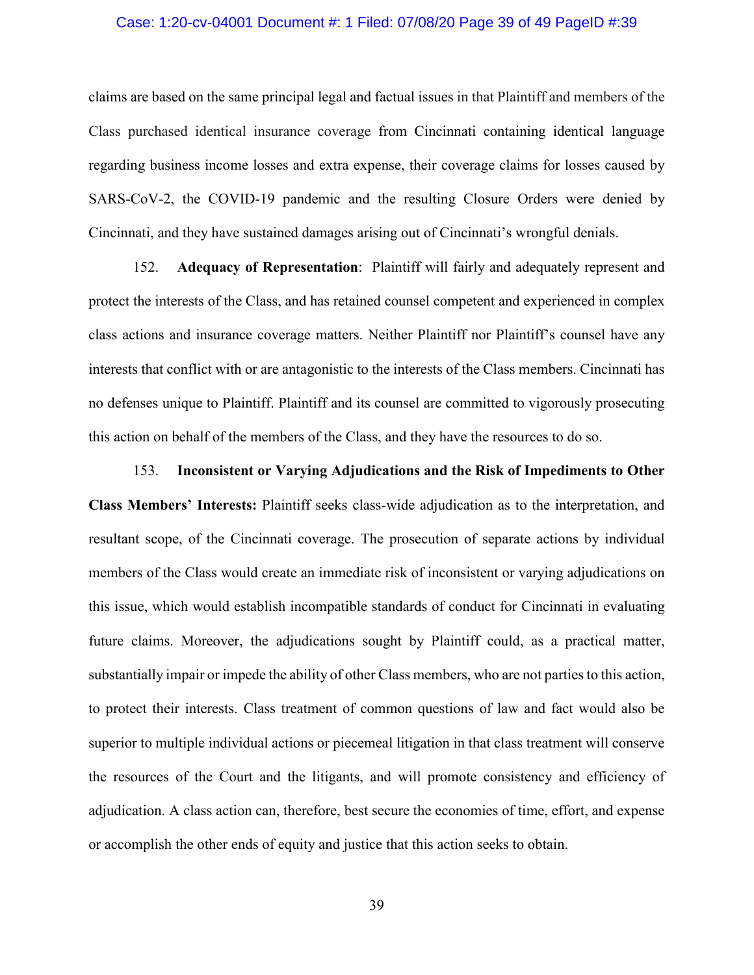### Case: 1:20-cv-04001 Document #: 1 Filed: 07/08/20 Page 39 of 49 PageID #:39

claims are based on the same principal legal and factual issues in that Plaintiff and members of the Class purchased identical insurance coverage from Cincinnati containing identical language regarding business income losses and extra expense, their coverage claims for losses caused by SARS-CoV-2, the COVID-19 pandemic and the resulting Closure Orders were denied by Cincinnati, and they have sustained damages arising out of Cincinnati's wrongful denials.

152. **Adequacy of Representation**: Plaintiff will fairly and adequately represent and protect the interests of the Class, and has retained counsel competent and experienced in complex class actions and insurance coverage matters. Neither Plaintiff nor Plaintiff's counsel have any interests that conflict with or are antagonistic to the interests of the Class members. Cincinnati has no defenses unique to Plaintiff. Plaintiff and its counsel are committed to vigorously prosecuting this action on behalf of the members of the Class, and they have the resources to do so.

153. **Inconsistent or Varying Adjudications and the Risk of Impediments to Other Class Members' Interests:** Plaintiff seeks class-wide adjudication as to the interpretation, and resultant scope, of the Cincinnati coverage. The prosecution of separate actions by individual members of the Class would create an immediate risk of inconsistent or varying adjudications on this issue, which would establish incompatible standards of conduct for Cincinnati in evaluating future claims. Moreover, the adjudications sought by Plaintiff could, as a practical matter, substantially impair or impede the ability of other Class members, who are not parties to this action, to protect their interests. Class treatment of common questions of law and fact would also be superior to multiple individual actions or piecemeal litigation in that class treatment will conserve the resources of the Court and the litigants, and will promote consistency and efficiency of adjudication. A class action can, therefore, best secure the economies of time, effort, and expense or accomplish the other ends of equity and justice that this action seeks to obtain.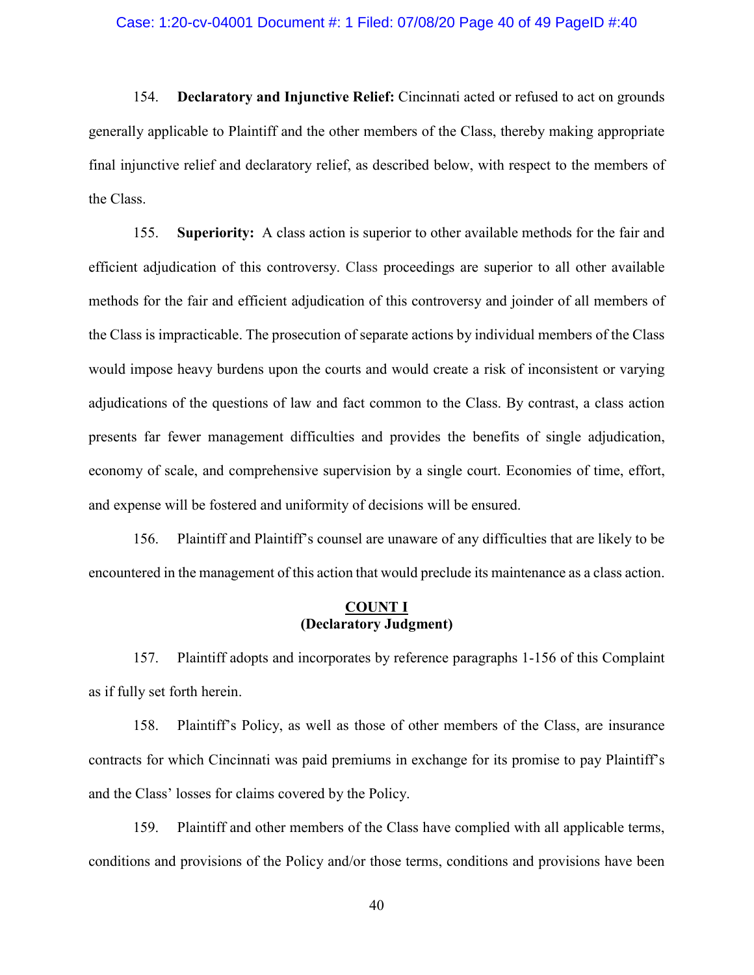#### Case: 1:20-cv-04001 Document #: 1 Filed: 07/08/20 Page 40 of 49 PageID #:40

154. **Declaratory and Injunctive Relief:** Cincinnati acted or refused to act on grounds generally applicable to Plaintiff and the other members of the Class, thereby making appropriate final injunctive relief and declaratory relief, as described below, with respect to the members of the Class.

155. **Superiority:** A class action is superior to other available methods for the fair and efficient adjudication of this controversy. Class proceedings are superior to all other available methods for the fair and efficient adjudication of this controversy and joinder of all members of the Class is impracticable. The prosecution of separate actions by individual members of the Class would impose heavy burdens upon the courts and would create a risk of inconsistent or varying adjudications of the questions of law and fact common to the Class. By contrast, a class action presents far fewer management difficulties and provides the benefits of single adjudication, economy of scale, and comprehensive supervision by a single court. Economies of time, effort, and expense will be fostered and uniformity of decisions will be ensured.

156. Plaintiff and Plaintiff's counsel are unaware of any difficulties that are likely to be encountered in the management of this action that would preclude its maintenance as a class action.

## **COUNT I (Declaratory Judgment)**

157. Plaintiff adopts and incorporates by reference paragraphs 1-156 of this Complaint as if fully set forth herein.

158. Plaintiff's Policy, as well as those of other members of the Class, are insurance contracts for which Cincinnati was paid premiums in exchange for its promise to pay Plaintiff's and the Class' losses for claims covered by the Policy.

159. Plaintiff and other members of the Class have complied with all applicable terms, conditions and provisions of the Policy and/or those terms, conditions and provisions have been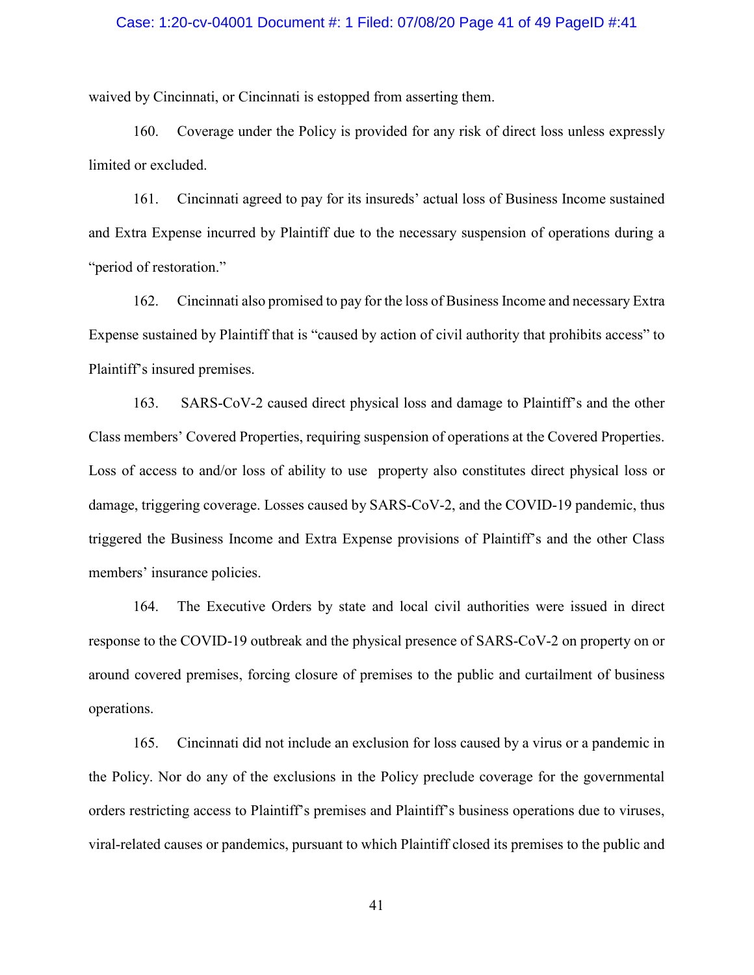### Case: 1:20-cv-04001 Document #: 1 Filed: 07/08/20 Page 41 of 49 PageID #:41

waived by Cincinnati, or Cincinnati is estopped from asserting them.

160. Coverage under the Policy is provided for any risk of direct loss unless expressly limited or excluded.

161. Cincinnati agreed to pay for its insureds' actual loss of Business Income sustained and Extra Expense incurred by Plaintiff due to the necessary suspension of operations during a "period of restoration."

162. Cincinnati also promised to pay for the loss of Business Income and necessary Extra Expense sustained by Plaintiff that is "caused by action of civil authority that prohibits access" to Plaintiff's insured premises.

163. SARS-CoV-2 caused direct physical loss and damage to Plaintiff's and the other Class members' Covered Properties, requiring suspension of operations at the Covered Properties. Loss of access to and/or loss of ability to use property also constitutes direct physical loss or damage, triggering coverage. Losses caused by SARS-CoV-2, and the COVID-19 pandemic, thus triggered the Business Income and Extra Expense provisions of Plaintiff's and the other Class members' insurance policies.

164. The Executive Orders by state and local civil authorities were issued in direct response to the COVID-19 outbreak and the physical presence of SARS-CoV-2 on property on or around covered premises, forcing closure of premises to the public and curtailment of business operations.

165. Cincinnati did not include an exclusion for loss caused by a virus or a pandemic in the Policy. Nor do any of the exclusions in the Policy preclude coverage for the governmental orders restricting access to Plaintiff's premises and Plaintiff's business operations due to viruses, viral-related causes or pandemics, pursuant to which Plaintiff closed its premises to the public and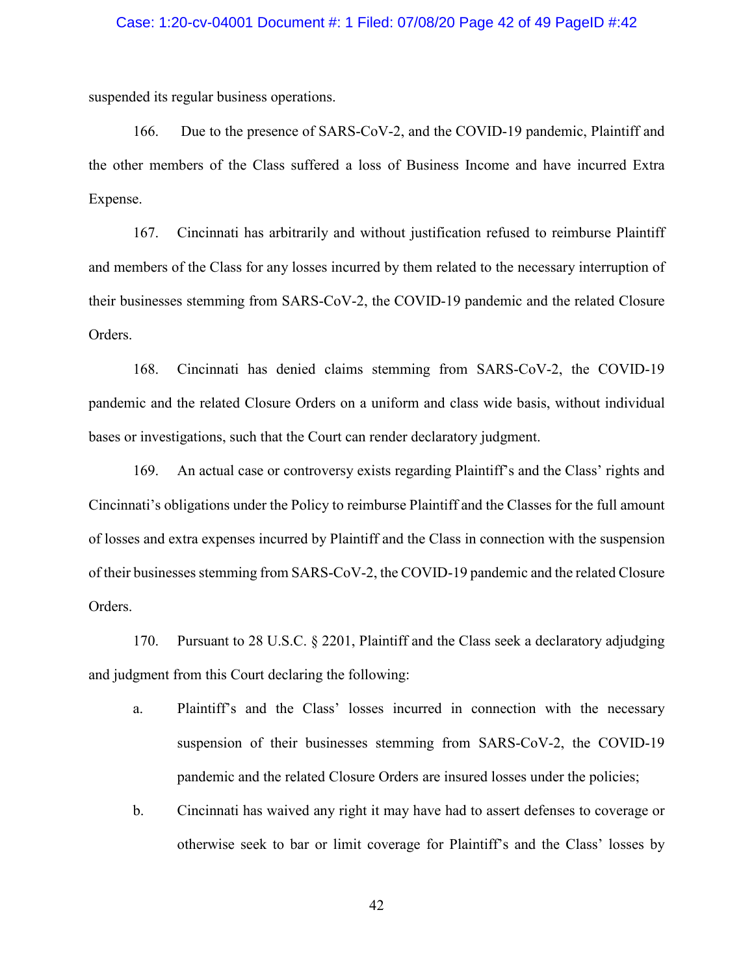### Case: 1:20-cv-04001 Document #: 1 Filed: 07/08/20 Page 42 of 49 PageID #:42

suspended its regular business operations.

166. Due to the presence of SARS-CoV-2, and the COVID-19 pandemic, Plaintiff and the other members of the Class suffered a loss of Business Income and have incurred Extra Expense.

167. Cincinnati has arbitrarily and without justification refused to reimburse Plaintiff and members of the Class for any losses incurred by them related to the necessary interruption of their businesses stemming from SARS-CoV-2, the COVID-19 pandemic and the related Closure Orders.

168. Cincinnati has denied claims stemming from SARS-CoV-2, the COVID-19 pandemic and the related Closure Orders on a uniform and class wide basis, without individual bases or investigations, such that the Court can render declaratory judgment.

169. An actual case or controversy exists regarding Plaintiff's and the Class' rights and Cincinnati's obligations under the Policy to reimburse Plaintiff and the Classes for the full amount of losses and extra expenses incurred by Plaintiff and the Class in connection with the suspension of their businesses stemming from SARS-CoV-2, the COVID-19 pandemic and the related Closure Orders.

170. Pursuant to 28 U.S.C. § 2201, Plaintiff and the Class seek a declaratory adjudging and judgment from this Court declaring the following:

- a. Plaintiff's and the Class' losses incurred in connection with the necessary suspension of their businesses stemming from SARS-CoV-2, the COVID-19 pandemic and the related Closure Orders are insured losses under the policies;
- b. Cincinnati has waived any right it may have had to assert defenses to coverage or otherwise seek to bar or limit coverage for Plaintiff's and the Class' losses by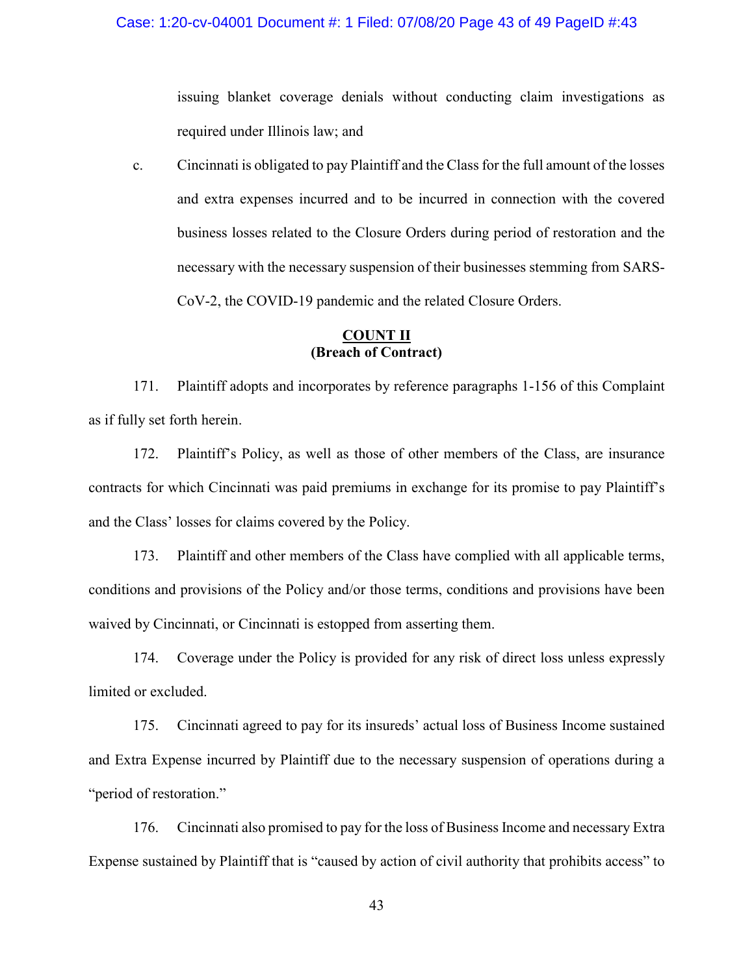issuing blanket coverage denials without conducting claim investigations as required under Illinois law; and

c. Cincinnati is obligated to pay Plaintiff and the Class for the full amount of the losses and extra expenses incurred and to be incurred in connection with the covered business losses related to the Closure Orders during period of restoration and the necessary with the necessary suspension of their businesses stemming from SARS-CoV-2, the COVID-19 pandemic and the related Closure Orders.

## **COUNT II (Breach of Contract)**

171. Plaintiff adopts and incorporates by reference paragraphs 1-156 of this Complaint as if fully set forth herein.

172. Plaintiff's Policy, as well as those of other members of the Class, are insurance contracts for which Cincinnati was paid premiums in exchange for its promise to pay Plaintiff's and the Class' losses for claims covered by the Policy.

173. Plaintiff and other members of the Class have complied with all applicable terms, conditions and provisions of the Policy and/or those terms, conditions and provisions have been waived by Cincinnati, or Cincinnati is estopped from asserting them.

174. Coverage under the Policy is provided for any risk of direct loss unless expressly limited or excluded.

175. Cincinnati agreed to pay for its insureds' actual loss of Business Income sustained and Extra Expense incurred by Plaintiff due to the necessary suspension of operations during a "period of restoration."

176. Cincinnati also promised to pay for the loss of Business Income and necessary Extra Expense sustained by Plaintiff that is "caused by action of civil authority that prohibits access" to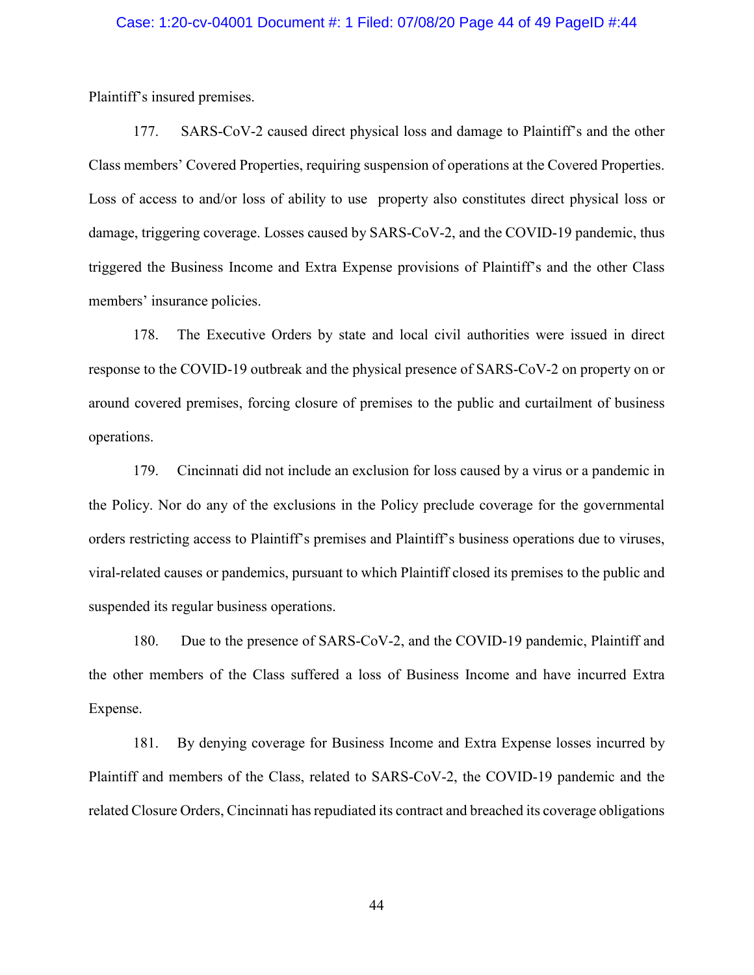### Case: 1:20-cv-04001 Document #: 1 Filed: 07/08/20 Page 44 of 49 PageID #:44

Plaintiff's insured premises.

177. SARS-CoV-2 caused direct physical loss and damage to Plaintiff's and the other Class members' Covered Properties, requiring suspension of operations at the Covered Properties. Loss of access to and/or loss of ability to use property also constitutes direct physical loss or damage, triggering coverage. Losses caused by SARS-CoV-2, and the COVID-19 pandemic, thus triggered the Business Income and Extra Expense provisions of Plaintiff's and the other Class members' insurance policies.

178. The Executive Orders by state and local civil authorities were issued in direct response to the COVID-19 outbreak and the physical presence of SARS-CoV-2 on property on or around covered premises, forcing closure of premises to the public and curtailment of business operations.

179. Cincinnati did not include an exclusion for loss caused by a virus or a pandemic in the Policy. Nor do any of the exclusions in the Policy preclude coverage for the governmental orders restricting access to Plaintiff's premises and Plaintiff's business operations due to viruses, viral-related causes or pandemics, pursuant to which Plaintiff closed its premises to the public and suspended its regular business operations.

180. Due to the presence of SARS-CoV-2, and the COVID-19 pandemic, Plaintiff and the other members of the Class suffered a loss of Business Income and have incurred Extra Expense.

181. By denying coverage for Business Income and Extra Expense losses incurred by Plaintiff and members of the Class, related to SARS-CoV-2, the COVID-19 pandemic and the related Closure Orders, Cincinnati has repudiated its contract and breached its coverage obligations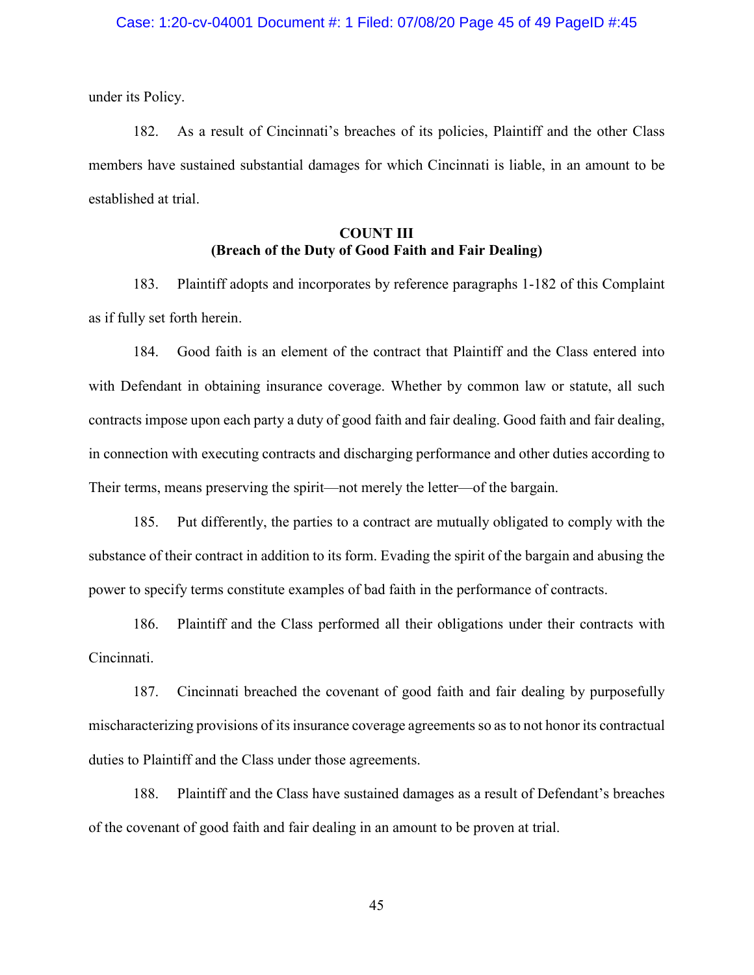under its Policy.

182. As a result of Cincinnati's breaches of its policies, Plaintiff and the other Class members have sustained substantial damages for which Cincinnati is liable, in an amount to be established at trial.

# **COUNT III (Breach of the Duty of Good Faith and Fair Dealing)**

183. Plaintiff adopts and incorporates by reference paragraphs 1-182 of this Complaint as if fully set forth herein.

184. Good faith is an element of the contract that Plaintiff and the Class entered into with Defendant in obtaining insurance coverage. Whether by common law or statute, all such contracts impose upon each party a duty of good faith and fair dealing. Good faith and fair dealing, in connection with executing contracts and discharging performance and other duties according to Their terms, means preserving the spirit—not merely the letter—of the bargain.

185. Put differently, the parties to a contract are mutually obligated to comply with the substance of their contract in addition to its form. Evading the spirit of the bargain and abusing the power to specify terms constitute examples of bad faith in the performance of contracts.

186. Plaintiff and the Class performed all their obligations under their contracts with Cincinnati.

187. Cincinnati breached the covenant of good faith and fair dealing by purposefully mischaracterizing provisions of its insurance coverage agreements so asto not honor its contractual duties to Plaintiff and the Class under those agreements.

188. Plaintiff and the Class have sustained damages as a result of Defendant's breaches of the covenant of good faith and fair dealing in an amount to be proven at trial.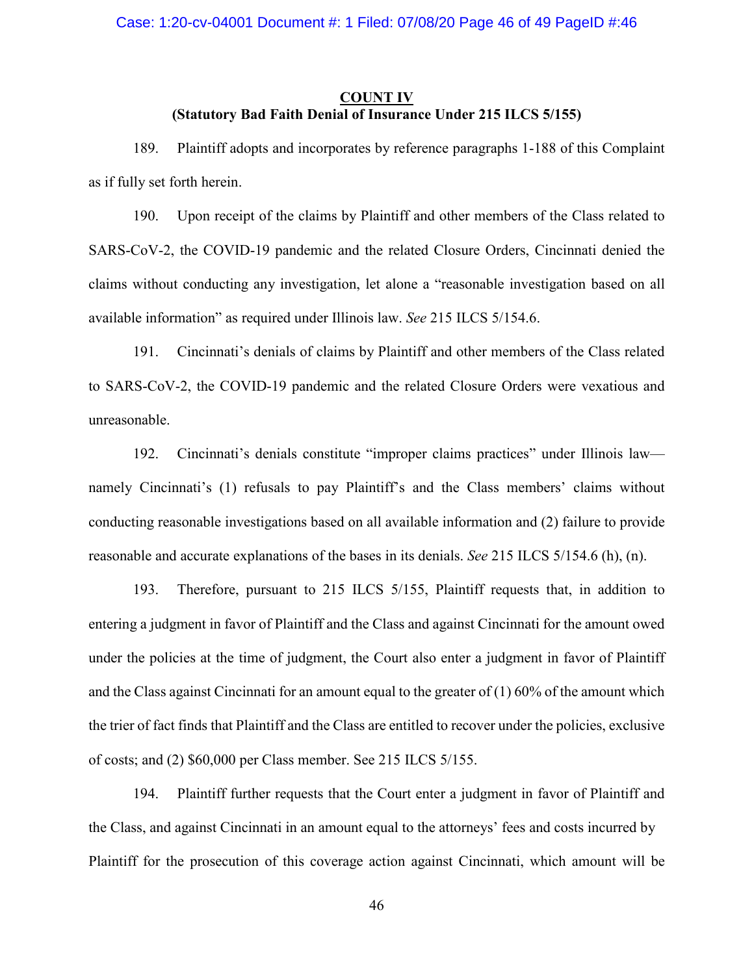#### Case: 1:20-cv-04001 Document #: 1 Filed: 07/08/20 Page 46 of 49 PageID #:46

## **COUNT IV (Statutory Bad Faith Denial of Insurance Under 215 ILCS 5/155)**

189. Plaintiff adopts and incorporates by reference paragraphs 1-188 of this Complaint as if fully set forth herein.

190. Upon receipt of the claims by Plaintiff and other members of the Class related to SARS-CoV-2, the COVID-19 pandemic and the related Closure Orders, Cincinnati denied the claims without conducting any investigation, let alone a "reasonable investigation based on all available information" as required under Illinois law. *See* 215 ILCS 5/154.6.

191. Cincinnati's denials of claims by Plaintiff and other members of the Class related to SARS-CoV-2, the COVID-19 pandemic and the related Closure Orders were vexatious and unreasonable.

192. Cincinnati's denials constitute "improper claims practices" under Illinois law namely Cincinnati's (1) refusals to pay Plaintiff's and the Class members' claims without conducting reasonable investigations based on all available information and (2) failure to provide reasonable and accurate explanations of the bases in its denials. *See* 215 ILCS 5/154.6 (h), (n).

193. Therefore, pursuant to 215 ILCS 5/155, Plaintiff requests that, in addition to entering a judgment in favor of Plaintiff and the Class and against Cincinnati for the amount owed under the policies at the time of judgment, the Court also enter a judgment in favor of Plaintiff and the Class against Cincinnati for an amount equal to the greater of  $(1)$  60% of the amount which the trier of fact finds that Plaintiff and the Class are entitled to recover under the policies, exclusive of costs; and (2) \$60,000 per Class member. See 215 ILCS 5/155.

194. Plaintiff further requests that the Court enter a judgment in favor of Plaintiff and the Class, and against Cincinnati in an amount equal to the attorneys' fees and costs incurred by Plaintiff for the prosecution of this coverage action against Cincinnati, which amount will be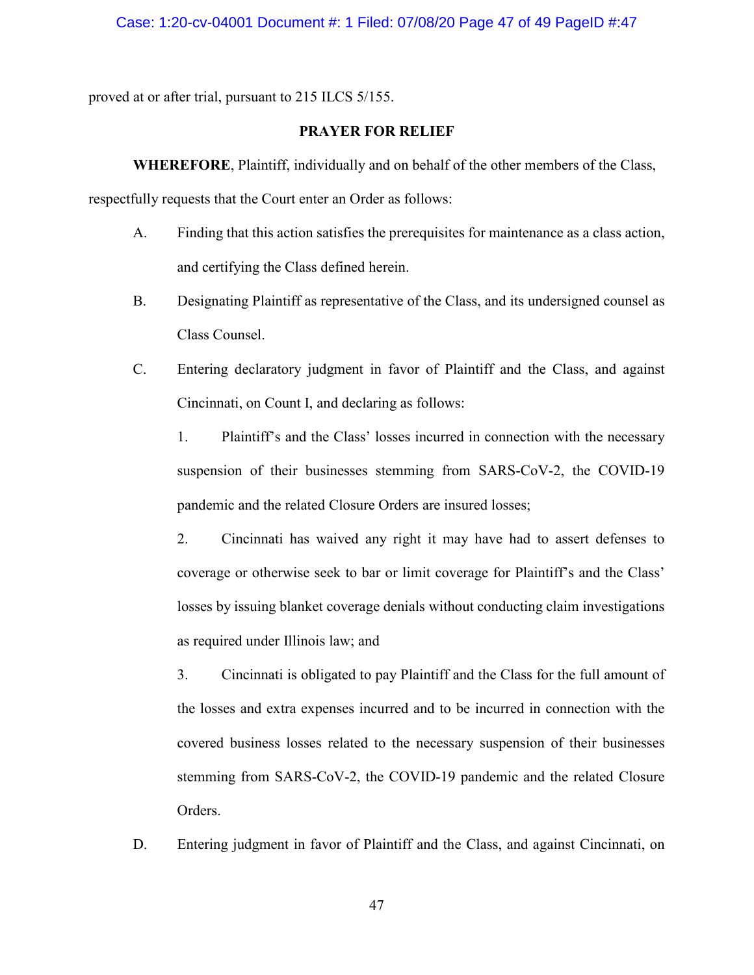proved at or after trial, pursuant to 215 ILCS 5/155.

## **PRAYER FOR RELIEF**

**WHEREFORE**, Plaintiff, individually and on behalf of the other members of the Class,

respectfully requests that the Court enter an Order as follows:

- A. Finding that this action satisfies the prerequisites for maintenance as a class action, and certifying the Class defined herein.
- B. Designating Plaintiff as representative of the Class, and its undersigned counsel as Class Counsel.
- C. Entering declaratory judgment in favor of Plaintiff and the Class, and against Cincinnati, on Count I, and declaring as follows:

1. Plaintiff's and the Class' losses incurred in connection with the necessary suspension of their businesses stemming from SARS-CoV-2, the COVID-19 pandemic and the related Closure Orders are insured losses;

2. Cincinnati has waived any right it may have had to assert defenses to coverage or otherwise seek to bar or limit coverage for Plaintiff's and the Class' losses by issuing blanket coverage denials without conducting claim investigations as required under Illinois law; and

3. Cincinnati is obligated to pay Plaintiff and the Class for the full amount of the losses and extra expenses incurred and to be incurred in connection with the covered business losses related to the necessary suspension of their businesses stemming from SARS-CoV-2, the COVID-19 pandemic and the related Closure Orders.

D. Entering judgment in favor of Plaintiff and the Class, and against Cincinnati, on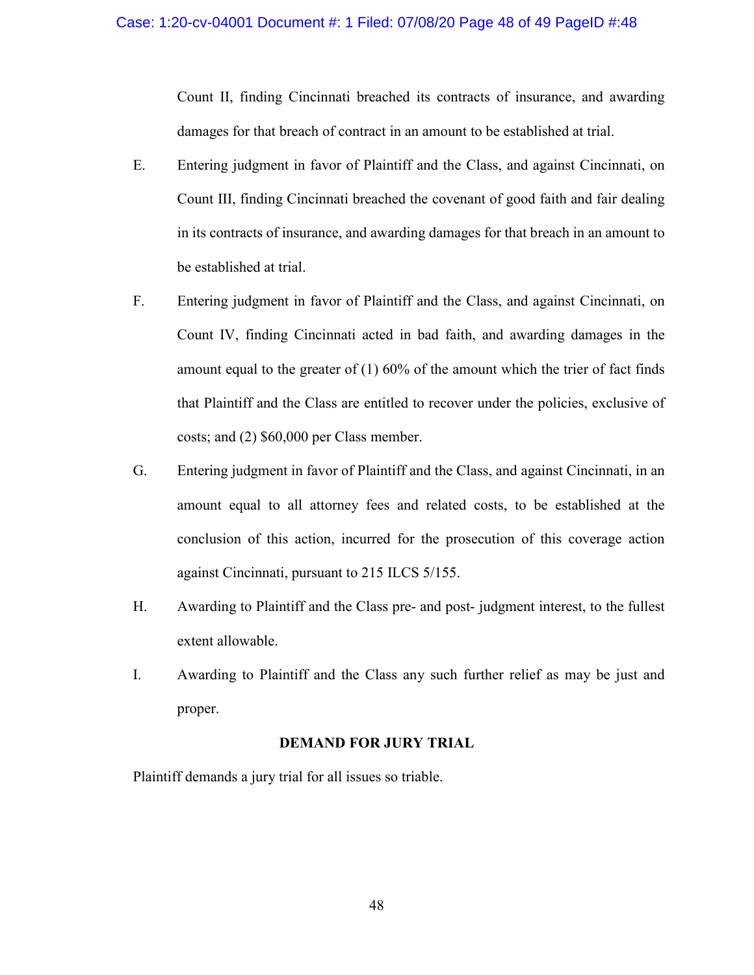Count II, finding Cincinnati breached its contracts of insurance, and awarding damages for that breach of contract in an amount to be established at trial.

- E. Entering judgment in favor of Plaintiff and the Class, and against Cincinnati, on Count III, finding Cincinnati breached the covenant of good faith and fair dealing in its contracts of insurance, and awarding damages for that breach in an amount to be established at trial.
- F. Entering judgment in favor of Plaintiff and the Class, and against Cincinnati, on Count IV, finding Cincinnati acted in bad faith, and awarding damages in the amount equal to the greater of  $(1)$  60% of the amount which the trier of fact finds that Plaintiff and the Class are entitled to recover under the policies, exclusive of costs; and (2) \$60,000 per Class member.
- G. Entering judgment in favor of Plaintiff and the Class, and against Cincinnati, in an amount equal to all attorney fees and related costs, to be established at the conclusion of this action, incurred for the prosecution of this coverage action against Cincinnati, pursuant to 215 ILCS 5/155.
- H. Awarding to Plaintiff and the Class pre- and post- judgment interest, to the fullest extent allowable.
- I. Awarding to Plaintiff and the Class any such further relief as may be just and proper.

### **DEMAND FOR JURY TRIAL**

Plaintiff demands a jury trial for all issues so triable.